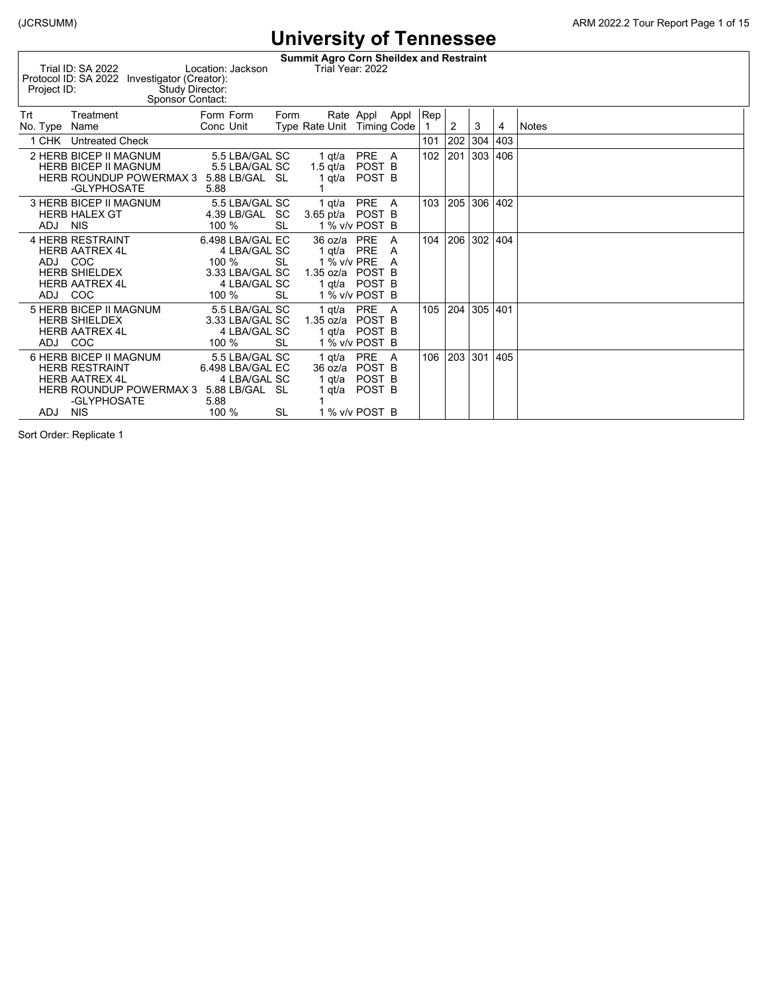**Summit Agro Corn Sheildex and Restraint**<br>Trial Year: 2022 Trial ID: SA 2022 Location: Jackson Trial Year: 2022 Protocol ID: SA 2022 Investigator (Creator):

| Project ID:        |                                                                                                                                         | Study Director:<br>Sponsor Contact: |                                                                                       |                 |                                                         |                                                                |        |     |     |         |     |              |
|--------------------|-----------------------------------------------------------------------------------------------------------------------------------------|-------------------------------------|---------------------------------------------------------------------------------------|-----------------|---------------------------------------------------------|----------------------------------------------------------------|--------|-----|-----|---------|-----|--------------|
| Trt<br>No. Type    | Treatment<br>Name                                                                                                                       |                                     | Form Form<br>Conc Unit                                                                | Form            | Type Rate Unit Timing Code                              | Rate Appl                                                      | Appl   | Rep | 2   | 3       | 4   | <b>Notes</b> |
| 1 CHK              | <b>Untreated Check</b>                                                                                                                  |                                     |                                                                                       |                 |                                                         |                                                                |        | 101 | 202 | 304     | 403 |              |
|                    | 2 HERB BICEP II MAGNUM<br><b>HERB BICEP II MAGNUM</b><br><b>HERB ROUNDUP POWERMAX 3</b><br>-GLYPHOSATE                                  |                                     | 5.5 LBA/GAL SC<br>5.5 LBA/GAL SC<br>5.88 LB/GAL SL<br>5.88                            |                 | 1 qt/a<br>1.5 $qt/a$<br>qt/a                            | <b>PRE</b><br>POST B<br>POST B                                 | - A    | 102 | 201 | 303     | 406 |              |
| ADJ NIS            | 3 HERB BICEP II MAGNUM<br><b>HERB HALEX GT</b>                                                                                          |                                     | 5.5 LBA/GAL SC<br>4.39 LB/GAL SC<br>100 %                                             | <b>SL</b>       | 1 qt/a<br>3.65 pt/a POST B                              | <b>PRE</b><br>1 % v/v POST B                                   | A      | 103 | 205 | 306 402 |     |              |
| ADJ COC<br>ADJ COC | <b>4 HERB RESTRAINT</b><br><b>HERB AATREX 4L</b><br><b>HERB SHIELDEX</b><br><b>HERB AATREX 4L</b>                                       |                                     | 6.498 LBA/GAL EC<br>4 LBA/GAL SC<br>100 %<br>3.33 LBA/GAL SC<br>4 LBA/GAL SC<br>100 % | <b>SL</b><br>SL | $36 \text{ oz/a}$<br>1 qt/a<br>1 % v/v PRE<br>1.35 oz/a | <b>PRE</b><br>PRE<br>POST B<br>1 qt/a POST B<br>1 % v/v POST B | A<br>A | 104 | 206 | 302     | 404 |              |
| ADJ COC            | 5 HERB BICEP II MAGNUM<br><b>HERB SHIELDEX</b><br><b>HERB AATREX 4L</b>                                                                 |                                     | 5.5 LBA/GAL SC<br>3.33 LBA/GAL SC<br>4 LBA/GAL SC<br>100 %                            | <b>SL</b>       | 1 qt/a<br>1.35 oz/a<br>1 qt/a                           | <b>PRE</b><br>POST B<br>POST B<br>1 % v/v POST B               | A      | 105 | 204 | 305 401 |     |              |
| ADJ.               | 6 HERB BICEP II MAGNUM<br><b>HERB RESTRAINT</b><br><b>HERB AATREX 4L</b><br><b>HERB ROUNDUP POWERMAX 3</b><br>-GLYPHOSATE<br><b>NIS</b> |                                     | 5.5 LBA/GAL SC<br>6.498 LBA/GAL EC<br>4 LBA/GAL SC<br>5.88 LB/GAL SL<br>5.88<br>100 % | <b>SL</b>       | 1 qt/a<br>36 oz/a<br>1 qt/a<br>qt/a                     | <b>PRE</b><br>POST B<br>POST B<br>POST B<br>1 % v/v POST B     | - A    | 106 | 203 | 301     | 405 |              |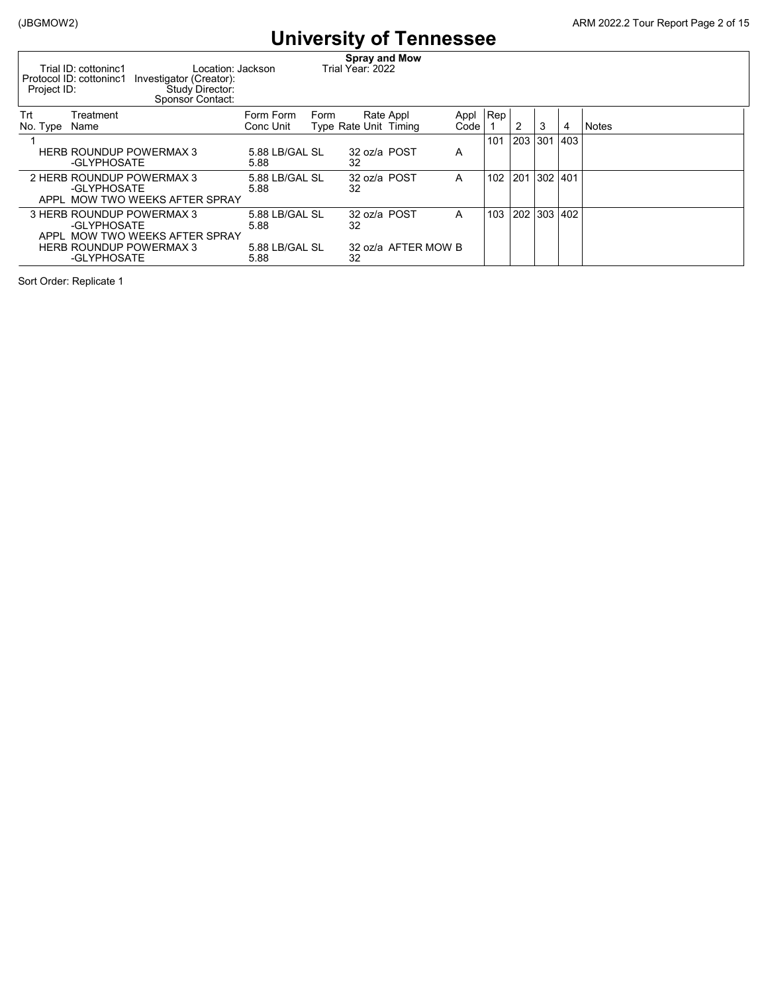| Project ID:     | Trial ID: cottoninc1<br>Location: Jackson<br>Protocol ID: cottoninc1<br>Investigator (Creator):<br>Study Director:<br>Sponsor Contact: |                        |      | <b>Spray and Mow</b><br>Trial Year: 2022 |                     |              |              |                 |   |   |              |
|-----------------|----------------------------------------------------------------------------------------------------------------------------------------|------------------------|------|------------------------------------------|---------------------|--------------|--------------|-----------------|---|---|--------------|
| Trt<br>No. Type | Treatment<br>Name                                                                                                                      | Form Form<br>Conc Unit | Form | Type Rate Unit Timing                    | Rate Appl           | Appl<br>Code | $ {\sf Rep}$ | 2               | 3 | 4 | <b>Notes</b> |
|                 | <b>HERB ROUNDUP POWERMAX 3</b><br>-GLYPHOSATE                                                                                          | 5.88 LB/GAL SL<br>5.88 |      | 32 oz/a POST<br>32                       |                     | A            | 101          | 203   301   403 |   |   |              |
|                 | 2 HERB ROUNDUP POWERMAX 3<br>-GLYPHOSATE<br>APPL MOW TWO WEEKS AFTER SPRAY                                                             | 5.88 LB/GAL SL<br>5.88 |      | 32 oz/a POST<br>32                       |                     | A            | 102          | 201 302 401     |   |   |              |
|                 | 3 HERB ROUNDUP POWERMAX 3<br>-GLYPHOSATE<br>APPL MOW TWO WEEKS AFTER SPRAY                                                             | 5.88 LB/GAL SL<br>5.88 |      | 32 oz/a POST<br>32                       |                     | A            | 103          | 202 303 402     |   |   |              |
|                 | <b>HERB ROUNDUP POWERMAX 3</b><br>-GLYPHOSATE                                                                                          | 5.88 LB/GAL SL<br>5.88 |      | 32                                       | 32 oz/a AFTER MOW B |              |              |                 |   |   |              |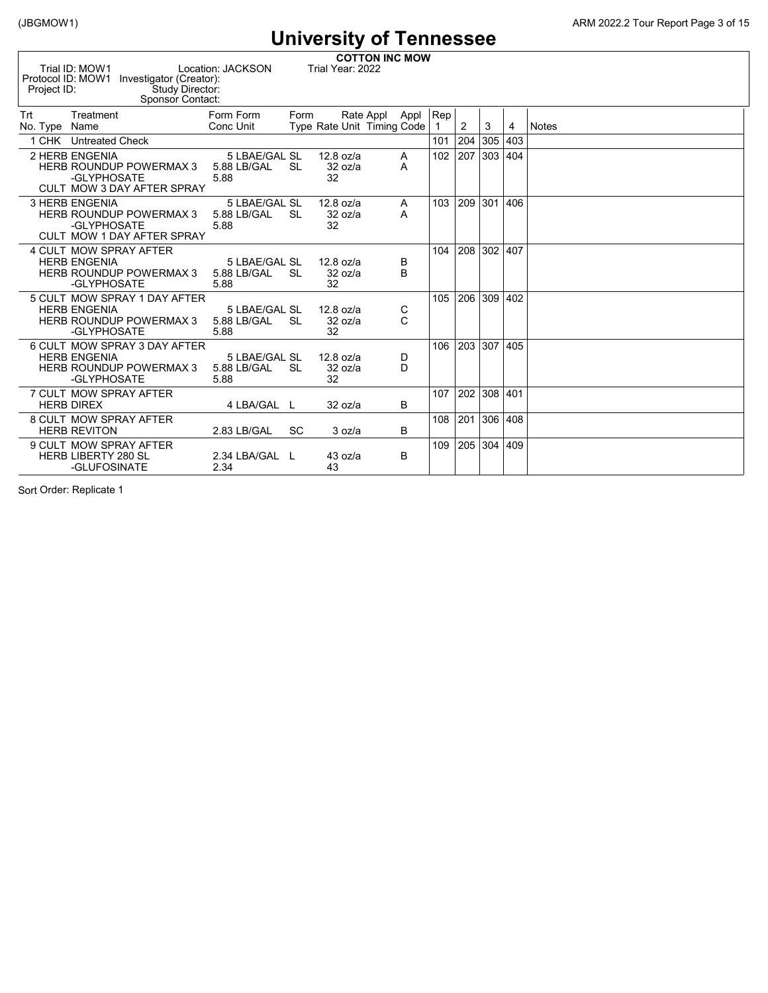|                      | <b>COTTON INC MOW</b><br>Trial ID: MOW1<br>Location: JACKSON<br>Trial Year: 2022<br>Protocol ID: MOW1<br>Investigator (Creator):<br>Study Director:<br>Project ID:<br>Sponsor Contact: |                                      |           |                              |           |      |          |     |         |     |              |  |  |  |  |
|----------------------|----------------------------------------------------------------------------------------------------------------------------------------------------------------------------------------|--------------------------------------|-----------|------------------------------|-----------|------|----------|-----|---------|-----|--------------|--|--|--|--|
| Trt<br>No. Type Name | Treatment                                                                                                                                                                              | Form Form<br>Conc Unit               | Form      | Type Rate Unit Timing Code   | Rate Appl | Appl | Rep<br>1 | 2   | 3       | 4   | <b>Notes</b> |  |  |  |  |
| CHK                  | <b>Untreated Check</b>                                                                                                                                                                 |                                      |           |                              |           |      | 101      | 204 | 305     | 403 |              |  |  |  |  |
|                      | 2 HERB ENGENIA<br><b>HERB ROUNDUP POWERMAX 3</b><br>-GLYPHOSATE<br>CULT MOW 3 DAY AFTER SPRAY                                                                                          | 5 LBAE/GAL SL<br>5.88 LB/GAL<br>5.88 | <b>SL</b> | $12.8$ oz/a<br>32 oz/a<br>32 | Α<br>A    |      | 102      | 207 | 303 404 |     |              |  |  |  |  |
|                      | <b>3 HERB ENGENIA</b><br><b>HERB ROUNDUP POWERMAX 3</b><br>-GLYPHOSATE<br>CULT MOW 1 DAY AFTER SPRAY                                                                                   | 5 LBAE/GAL SL<br>5.88 LB/GAL<br>5.88 | <b>SL</b> | $12.8$ oz/a<br>32 oz/a<br>32 | Α<br>A    |      | 103      | 209 | 301 406 |     |              |  |  |  |  |
|                      | 4 CULT MOW SPRAY AFTER<br><b>HERB ENGENIA</b><br><b>HERB ROUNDUP POWERMAX 3</b><br>-GLYPHOSATE                                                                                         | 5 LBAE/GAL SL<br>5.88 LB/GAL<br>5.88 | -SL       | $12.8$ oz/a<br>32 oz/a<br>32 | B<br>B    |      | 104      | 208 | 302 407 |     |              |  |  |  |  |
|                      | 5 CULT MOW SPRAY 1 DAY AFTER<br><b>HERB ENGENIA</b><br><b>HERB ROUNDUP POWERMAX 3</b><br>-GLYPHOSATE                                                                                   | 5 LBAE/GAL SL<br>5.88 LB/GAL<br>5.88 | -SL       | $12.8$ oz/a<br>32 oz/a<br>32 | C<br>C    |      | 105      | 206 | 309     | 402 |              |  |  |  |  |
|                      | 6 CULT MOW SPRAY 3 DAY AFTER<br><b>HERB ENGENIA</b><br><b>HERB ROUNDUP POWERMAX 3</b><br>-GLYPHOSATE                                                                                   | 5 LBAE/GAL SL<br>5.88 LB/GAL<br>5.88 | -SL       | $12.8$ oz/a<br>32 oz/a<br>32 | D<br>D    |      | 106      | 203 | 307 405 |     |              |  |  |  |  |
|                      | 7 CULT MOW SPRAY AFTER<br><b>HERB DIREX</b>                                                                                                                                            | 4 LBA/GAL L                          |           | 32 oz/a                      | B         |      | 107      | 202 | 308 401 |     |              |  |  |  |  |
|                      | 8 CULT MOW SPRAY AFTER<br><b>HERB REVITON</b>                                                                                                                                          | 2.83 LB/GAL                          | <b>SC</b> | 3 oz/a                       | B         |      | 108      | 201 | 306 408 |     |              |  |  |  |  |
|                      | 9 CULT MOW SPRAY AFTER<br><b>HERB LIBERTY 280 SL</b><br>-GLUFOSINATE                                                                                                                   | 2.34 LBA/GAL L<br>2.34               |           | 43 oz/a<br>43                | B         |      | 109      | 205 | 304 409 |     |              |  |  |  |  |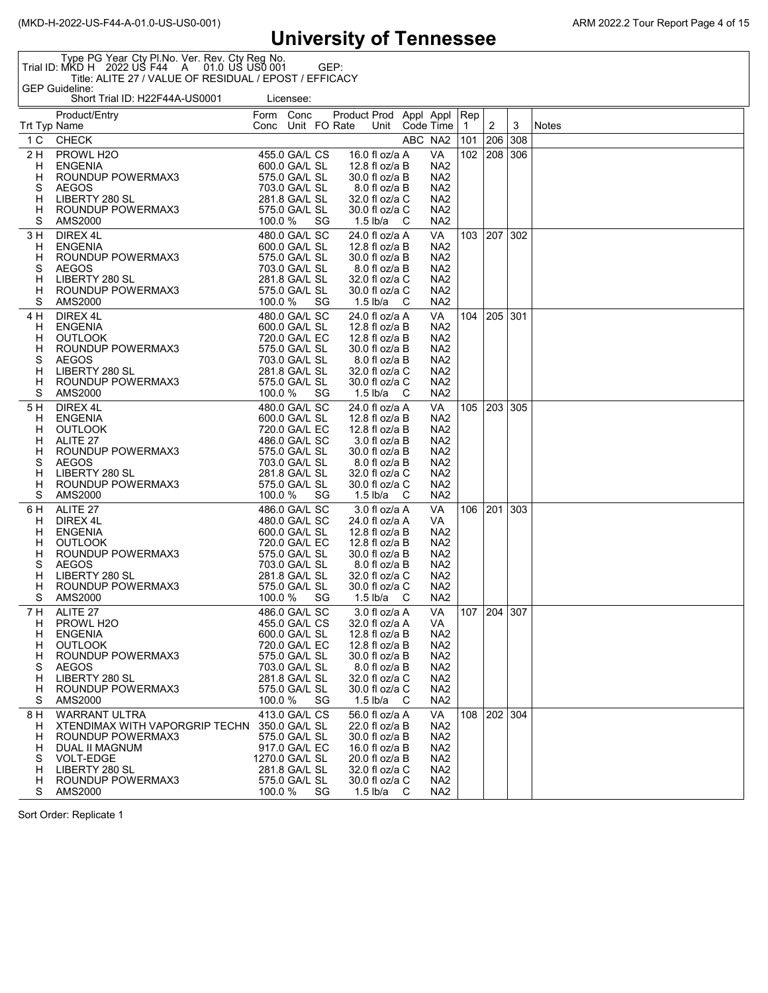Type PG Year Cty Pl.No. Ver. Rev. Cty Reg No. Trial ID: MKD H 2022 US F44 A 01.0 US US0 001 GEP: Title: ALITE 27 / VALUE OF RESIDUAL / EPOST / EFFICACY GEP Guideline:

Short Trial ID: H22F44A-US0001 Licensee:

|                                               | Product/Entry<br>Trt Typ Name                                                                                                                                                | Form Conc<br>Conc Unit FO Rate      |                                                                                                                                      |          | Product Prod Appl Appl Rep | Unit Code Time                                                                                                                                                |            |                                                                                                                                                            | $\mathbf 1$ | $\overline{2}$ | 3   | Notes |
|-----------------------------------------------|------------------------------------------------------------------------------------------------------------------------------------------------------------------------------|-------------------------------------|--------------------------------------------------------------------------------------------------------------------------------------|----------|----------------------------|---------------------------------------------------------------------------------------------------------------------------------------------------------------|------------|------------------------------------------------------------------------------------------------------------------------------------------------------------|-------------|----------------|-----|-------|
| 1 C                                           | <b>CHECK</b>                                                                                                                                                                 |                                     |                                                                                                                                      |          |                            |                                                                                                                                                               | ABC NA2    |                                                                                                                                                            | 101         | 206            | 308 |       |
| 2 H<br>H<br>H<br>S<br>н<br>н                  | PROWL H2O<br><b>ENGENIA</b><br>ROUNDUP POWERMAX3<br><b>AEGOS</b><br>LIBERTY 280 SL<br>ROUNDUP POWERMAX3                                                                      |                                     | 455.0 GA/L CS<br>600.0 GA/L SL<br>575.0 GA/L SL<br>703.0 GA/L SL<br>281.8 GA/L SL<br>575.0 GA/L SL                                   |          |                            | 16.0 fl oz/a A<br>12.8 fl oz/a B<br>30.0 fl oz/a B<br>8.0 fl oz/a B<br>32.0 fl oz/a C<br>30.0 fl oz/a C                                                       |            | VA<br>NA <sub>2</sub><br>NA <sub>2</sub><br>NA <sub>2</sub><br>NA <sub>2</sub><br>NA <sub>2</sub>                                                          | $102$ 208   |                | 306 |       |
| S<br>3 H<br>H.<br>н<br>S<br>H<br>H.<br>S      | AMS2000<br>DIREX 4L<br>ENGENIA<br>ROUNDUP POWERMAX3<br><b>AEGOS</b><br>LIBERTY 280 SL<br>ROUNDUP POWERMAX3<br>AMS2000                                                        | 100.0 %<br>575.0 GA/L SL<br>100.0 % | 480.0 GA/L SC<br>600.0 GA/L SL<br>575.0 GA/L SL<br>703.0 GA/L SL<br>281.8 GA/L SL                                                    | SG<br>SG |                            | 1.5 lb/a<br>24.0 fl oz/a A<br>12.8 fl oz/a B<br>30.0 fl oz/a B<br>8.0 fl oz/a B<br>32.0 fl oz/a C<br>30.0 fl oz/a C<br>1.5 lb/a                               | - C<br>- C | NA <sub>2</sub><br>VA<br>NA <sub>2</sub><br>NA <sub>2</sub><br>NA <sub>2</sub><br>NA <sub>2</sub><br>NA <sub>2</sub><br>NA <sub>2</sub>                    | 103         | 207   302      |     |       |
| 4 H<br>H<br>н<br>H<br>S<br>H<br>H<br>S        | DIREX 4L<br><b>ENGENIA</b><br><b>OUTLOOK</b><br>ROUNDUP POWERMAX3<br><b>AEGOS</b><br>LIBERTY 280 SL<br>LIBERTY 280 SL<br>ROUNDUP POWERMAX3<br>AMS2000                        | 100.0 %                             | 480.0 GA/L SC<br>600.0 GA/L SL<br>720.0 GA/L EC<br>575.0 GA/L SL<br>703.0 GA/L SL<br>281.8 GA/L SL<br>575.0 GA/L SL                  | SG       |                            | 24.0 fl oz/a A<br>12.8 fl oz/a B<br>12.8 fl oz/a B<br>30.0 fl oz/a B<br>8.0 fl oz/a B<br>32.0 fl oz/a C<br>30.0 fl oz/a C<br>1.5 lb/a                         | - C        | VA<br>NA <sub>2</sub><br>NA <sub>2</sub><br>NA <sub>2</sub><br>NA <sub>2</sub><br>NA <sub>2</sub><br>NA <sub>2</sub><br>NA <sub>2</sub>                    |             | 104 205 301    |     |       |
| 5 H<br>H<br>н<br>H<br>H<br>S<br>H<br>н<br>S   | DIREX 4L<br><b>ENGENIA</b><br><b>OUTLOOK</b><br>ALITE 27<br>ROUNDUP POWERMAX3<br><b>AEGOS</b><br>LIBERTY 280 SL<br>ROUNDUP POWERMAX3<br>AMC2000<br>LIBERTY 280 SL<br>AMS2000 | 100.0 %                             | 480.0 GA/L SC<br>600.0 GA/L SL<br>720.0 GA/L EC<br>486.0 GA/L SC<br>575.0 GA/L SL<br>703.0 GA/L SL<br>281.8 GA/L SL<br>575.0 GA/L SL | SG       |                            | 24.0 fl oz/a A<br>12.8 fl oz/a B<br>12.8 fl oz/a B<br>3.0 fl oz/a B<br>30.0 fl oz/a B<br>8.0 fl oz/a B<br>32.0 fl oz/a C<br>30.0 fl oz/a C<br>1.5 lb/a $\,$ C |            | VA<br>NA <sub>2</sub><br>NA <sub>2</sub><br>NA <sub>2</sub><br>NA <sub>2</sub><br>NA <sub>2</sub><br>NA <sub>2</sub><br>NA <sub>2</sub><br>NA <sub>2</sub> |             | 105 203 305    |     |       |
| 6 H<br>H<br>H<br>H<br>H<br>S<br>н<br>н<br>S   | ALITE 27<br>DIREX 4L<br><b>ENGENIA</b><br><b>OUTLOOK</b><br>ROUNDUP POWERMAX3<br><b>AEGOS</b><br>LIBERTY 280 SL<br>LIBERTY 280 SL<br>ROUNDUP POWERMAX3<br>AMS2000<br>AMS2000 | 100.0 %                             | 486.0 GA/L SC<br>480.0 GA/L SC<br>600.0 GA/L SL<br>720.0 GA/L EC<br>575.0 GA/L SL<br>703.0 GA/L SL<br>281.8 GA/L SL<br>575.0 GA/L SL | SG       |                            | 3.0 fl oz/a A<br>24.0 fl oz/a A<br>12.8 fl oz/a B<br>12.8 fl oz/a B<br>30.0 fl oz/a B<br>8.0 fl oz/a B<br>32.0 fl oz/a C<br>30.0 fl oz/a C<br>1.5 lb/a        | – C        | VA<br>VA<br>NA <sub>2</sub><br>NA <sub>2</sub><br>NA <sub>2</sub><br>NA <sub>2</sub><br>NA <sub>2</sub><br>NA <sub>2</sub><br>NA <sub>2</sub>              |             | 106 201 303    |     |       |
| 7 H<br>H<br>н<br>H<br>н<br>S.<br>H<br>H.<br>S | ALITE 27<br>PROWL H <sub>2</sub> O<br><b>ENGENIA</b><br><b>OUTLOOK</b><br>ROUNDUP POWERMAX3<br><b>AEGOS</b><br>LIBERTY 280 SL<br>ROUNDUP POWERMAX3<br>AMS2000                | 100.0%                              | 486.0 GA/L SC<br>455.0 GA/L CS<br>600.0 GA/L SL<br>720.0 GA/L EC<br>575.0 GA/L SL<br>703.0 GA/L SL<br>281.8 GA/L SL<br>575.0 GA/L SL | SG       |                            | 3.0 fl oz/a A<br>32.0 fl oz/a A<br>12.8 fl oz/a B<br>12.8 fl oz/a B<br>30.0 fl oz/a B<br>8.0 fl oz/a B<br>32.0 fl oz/a C<br>30.0 fl oz/a C<br>1.5 lb/a        | - C        | VA<br>VA<br>NA <sub>2</sub><br>NA <sub>2</sub><br>NA <sub>2</sub><br>NA <sub>2</sub><br>NA <sub>2</sub><br>NA <sub>2</sub><br>NA <sub>2</sub>              |             | 107 204 307    |     |       |
| 8 H<br>H<br>Н.<br>н<br>S<br>H.<br>H<br>S      | <b>WARRANT ULTRA</b><br>XTENDIMAX WITH VAPORGRIP TECHN 350.0 GA/L SL<br>ROUNDUP POWERMAX3<br>DUAL II MAGNUM<br>VOLT-EDGE<br>LIBERTY 280 SL<br>ROUNDUP POWERMAX3<br>AMS2000   | 1270.0 GA/L SL<br>100.0 %           | 413.0 GA/L CS<br>575.0 GA/L SL<br>917.0 GA/L EC<br>281.8 GA/L SL<br>575.0 GA/L SL                                                    | SG       |                            | 56.0 fl oz/a A<br>22.0 fl oz/a B<br>30.0 fl oz/a B<br>16.0 fl oz/a B<br>20.0 fl oz/a B<br>32.0 fl oz/a C<br>30.0 fl oz/a C<br>$1.5$ lb/a                      | - C        | VA.<br>NA <sub>2</sub><br>NA <sub>2</sub><br>NA <sub>2</sub><br>NA <sub>2</sub><br>NA <sub>2</sub><br>NA <sub>2</sub><br>NA2                               |             | 108 202 304    |     |       |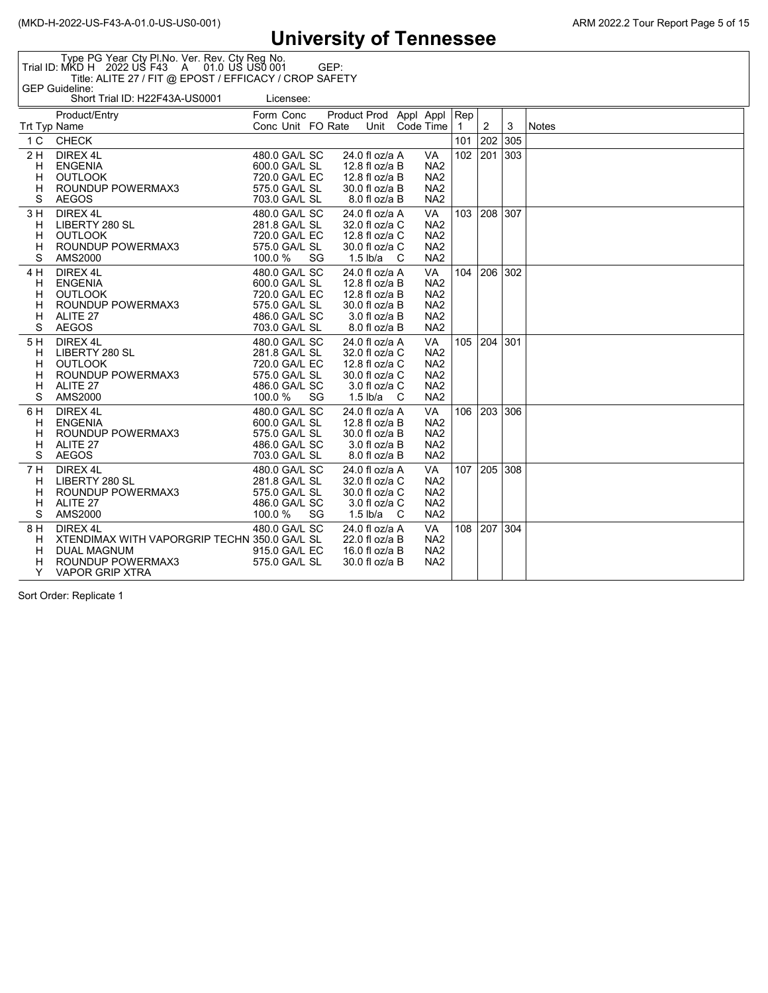Type PG Year Cty Pl.No. Ver. Rev. Cty Reg No. Trial ID: MKD H 2022 US F43 A 01.0 US US0 001 GEP: Title: ALITE 27 / FIT @ EPOST / EFFICACY / CROP SAFETY GEP Guideline:

|                     | Short Trial ID: H22F43A-US0001               |                                | Licensee: |    |                        |                                  |     |                                    |                |                |   |              |
|---------------------|----------------------------------------------|--------------------------------|-----------|----|------------------------|----------------------------------|-----|------------------------------------|----------------|----------------|---|--------------|
|                     | Product/Entry                                | Form Conc                      |           |    | Product Prod Appl Appl |                                  |     |                                    | $ {\sf Rep}$   |                |   |              |
| <b>Trt Typ Name</b> |                                              | Conc Unit FO Rate              |           |    |                        | Unit                             |     | Code Time                          | $\overline{1}$ | $\overline{2}$ | 3 | <b>Notes</b> |
| 1 C                 | <b>CHECK</b>                                 |                                |           |    |                        |                                  |     |                                    | 101            | 202 305        |   |              |
| 2H                  | DIREX 4L                                     | 480.0 GA/L SC                  |           |    |                        | 24.0 fl oz/a A                   |     | VA                                 | 102            | 201 303        |   |              |
| H                   | <b>ENGENIA</b>                               | 600.0 GA/L SL                  |           |    |                        | 12.8 fl oz/a B                   |     | NA <sub>2</sub>                    |                |                |   |              |
| H                   | <b>OUTLOOK</b>                               | 720.0 GA/L EC                  |           |    |                        | 12.8 fl oz/a B                   |     | NA <sub>2</sub>                    |                |                |   |              |
| н                   | ROUNDUP POWERMAX3                            | 575.0 GA/L SL                  |           |    |                        | 30.0 fl oz/a B                   |     | NA <sub>2</sub>                    |                |                |   |              |
| S                   | <b>AEGOS</b>                                 | 703.0 GA/L SL                  |           |    |                        | 8.0 fl oz/a B                    |     | NA <sub>2</sub>                    |                |                |   |              |
| 3 H                 | DIREX 4L                                     | 480.0 GA/L SC                  |           |    |                        | 24.0 fl oz/a A                   |     | <b>VA</b>                          | 103            | 208 307        |   |              |
| Н                   | LIBERTY 280 SL                               | 281.8 GA/L SL                  |           |    |                        | 32.0 fl oz/a C                   |     | NA <sub>2</sub>                    |                |                |   |              |
| н                   | <b>OUTLOOK</b><br>ROUNDUP POWERMAX3          | 720.0 GA/L EC<br>575.0 GA/L SL |           |    |                        | 12.8 fl oz/a C<br>30.0 fl oz/a C |     | NA <sub>2</sub><br>NA <sub>2</sub> |                |                |   |              |
| н<br>S              | AMS2000                                      | 100.0 %                        |           | SG |                        | 1.5 lb/a                         | - C | NA <sub>2</sub>                    |                |                |   |              |
| 4 H                 | DIREX 4L                                     | 480.0 GA/L SC                  |           |    |                        | 24.0 fl oz/a A                   |     | VA                                 | 104            | 206 302        |   |              |
| H                   | <b>ENGENIA</b>                               | 600.0 GA/L SL                  |           |    |                        | 12.8 fl oz/a B                   |     | NA <sub>2</sub>                    |                |                |   |              |
| н                   | <b>OUTLOOK</b>                               | 720.0 GA/L EC                  |           |    |                        | 12.8 fl oz/a B                   |     | NA <sub>2</sub>                    |                |                |   |              |
| н                   | ROUNDUP POWERMAX3                            | 575.0 GA/L SL                  |           |    |                        | 30.0 fl oz/a B                   |     | NA <sub>2</sub>                    |                |                |   |              |
| н                   | ALITE 27                                     | 486.0 GA/L SC                  |           |    |                        | 3.0 fl oz/a B                    |     | NA <sub>2</sub>                    |                |                |   |              |
| S                   | <b>AEGOS</b>                                 | 703.0 GA/L SL                  |           |    |                        | 8.0 fl oz/a B                    |     | NA <sub>2</sub>                    |                |                |   |              |
| 5 H                 | DIREX 4L                                     | 480.0 GA/L SC                  |           |    |                        | 24.0 fl oz/a A                   |     | <b>VA</b>                          | 105            | 204 301        |   |              |
| н                   | LIBERTY 280 SL                               | 281.8 GA/L SL                  |           |    |                        | 32.0 fl oz/a C                   |     | NA <sub>2</sub>                    |                |                |   |              |
| н                   | <b>OUTLOOK</b>                               | 720.0 GA/L EC                  |           |    |                        | 12.8 fl oz/a C                   |     | NA <sub>2</sub>                    |                |                |   |              |
| н                   | ROUNDUP POWERMAX3                            | 575.0 GA/L SL                  |           |    |                        | 30.0 fl oz/a C                   |     | NA <sub>2</sub>                    |                |                |   |              |
| н                   | ALITE 27                                     | 486.0 GA/L SC<br>100.0 %       |           |    |                        | $3.0$ fl oz/a C                  |     | NA <sub>2</sub>                    |                |                |   |              |
| S                   | AMS2000                                      |                                |           | SG |                        | 1.5 $lb/a$ C                     |     | NA <sub>2</sub>                    |                |                |   |              |
| 6 H                 | DIREX 4L                                     | 480.0 GA/L SC                  |           |    |                        | 24.0 fl oz/a A                   |     | <b>VA</b>                          | 106            | 203 306        |   |              |
| H                   | <b>ENGENIA</b><br>ROUNDUP POWERMAX3          | 600.0 GA/L SL<br>575.0 GA/L SL |           |    |                        | 12.8 fl oz/a B<br>30.0 fl oz/a B |     | NA <sub>2</sub><br>NA <sub>2</sub> |                |                |   |              |
| н<br>н              | ALITE 27                                     | 486.0 GA/L SC                  |           |    |                        | $3.0$ fl oz/a B                  |     | NA <sub>2</sub>                    |                |                |   |              |
| S                   | <b>AEGOS</b>                                 | 703.0 GA/L SL                  |           |    |                        | 8.0 fl oz/a B                    |     | NA <sub>2</sub>                    |                |                |   |              |
| 7 H                 | DIREX 4L                                     | 480.0 GA/L SC                  |           |    |                        | 24.0 fl oz/a A                   |     | VA                                 | 107            | 205 308        |   |              |
| н                   | LIBERTY 280 SL                               | 281.8 GA/L SL                  |           |    |                        | 32.0 fl oz/a C                   |     | NA <sub>2</sub>                    |                |                |   |              |
| н                   | ROUNDUP POWERMAX3                            | 575.0 GA/L SL                  |           |    |                        | 30.0 fl oz/a C                   |     | NA <sub>2</sub>                    |                |                |   |              |
| н                   | ALITE 27                                     | 486.0 GA/L SC                  |           |    |                        | $3.0$ fl oz/a C                  |     | NA <sub>2</sub>                    |                |                |   |              |
| S                   | AMS2000                                      | 100.0 %                        |           | SG |                        | 1.5 lb/a $C$                     |     | NA <sub>2</sub>                    |                |                |   |              |
| 8 H                 | DIREX 4L                                     | 480.0 GA/L SC                  |           |    |                        | 24.0 fl oz/a A                   |     | VA                                 | 108            | 207 304        |   |              |
| H                   | XTENDIMAX WITH VAPORGRIP TECHN 350.0 GA/L SL |                                |           |    |                        | 22.0 fl oz/a B                   |     | NA <sub>2</sub>                    |                |                |   |              |
| н                   | <b>DUAL MAGNUM</b>                           | 915.0 GA/L EC                  |           |    |                        | 16.0 fl oz/a B                   |     | NA <sub>2</sub>                    |                |                |   |              |
| н                   | ROUNDUP POWERMAX3                            | 575.0 GA/L SL                  |           |    |                        | 30.0 fl oz/a B                   |     | NA <sub>2</sub>                    |                |                |   |              |
| Y                   | <b>VAPOR GRIP XTRA</b>                       |                                |           |    |                        |                                  |     |                                    |                |                |   |              |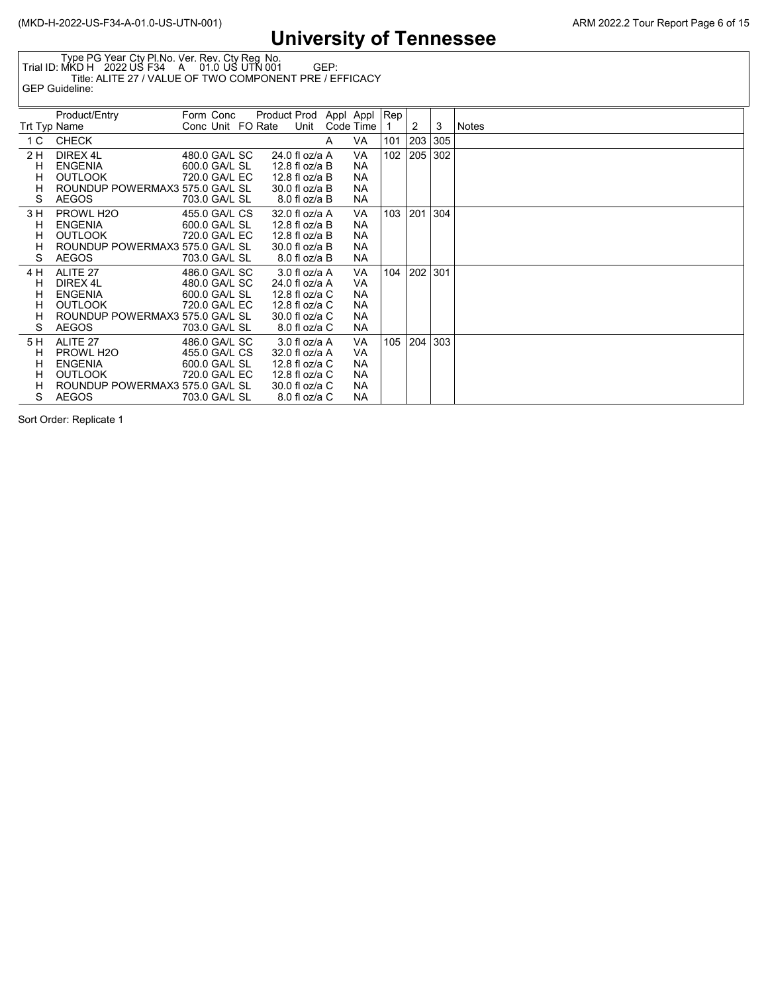Type PG Year Cty Pl.No. Ver. Rev. Cty Reg No. Trial ID: MKD H 2022 US F34 A 01.0 US UTN 001 GEP: Title: ALITE 27 / VALUE OF TWO COMPONENT PRE / EFFICACY GEP Guideline:

|                | Product/Entry                   | Form Conc         | Product Prod Appl Appl |      |   |           | Rep ' |     |     |       |
|----------------|---------------------------------|-------------------|------------------------|------|---|-----------|-------|-----|-----|-------|
| Trt Typ Name   |                                 | Conc Unit FO Rate |                        | Unit |   | Code Time |       | 2   | 3   | Notes |
| 1 <sup>C</sup> | <b>CHECK</b>                    |                   |                        |      | A | VA        | 101   | 203 | 305 |       |
| 2 H            | DIREX 4L                        | 480.0 GA/L SC     | 24.0 fl oz/a A         |      |   | VA        | 102   | 205 | 302 |       |
| н              | <b>ENGENIA</b>                  | 600.0 GA/L SL     | 12.8 fl oz/a B         |      |   | NA.       |       |     |     |       |
| н              | <b>OUTLOOK</b>                  | 720.0 GA/L EC     | 12.8 fl oz/a B         |      |   | NA.       |       |     |     |       |
| н              | ROUNDUP POWERMAX3 575.0 GA/L SL |                   | 30.0 fl oz/a B         |      |   | NA.       |       |     |     |       |
| S              | AEGOS                           | 703.0 GA/L SL     | 8.0 fl oz/a B          |      |   | NA.       |       |     |     |       |
| 3 H            | PROWL H <sub>2</sub> O          | 455.0 GA/L CS     | 32.0 fl oz/a A         |      |   | VA.       | 103   | 201 | 304 |       |
| н              | <b>ENGENIA</b>                  | 600.0 GA/L SL     | 12.8 fl oz/a B         |      |   | <b>NA</b> |       |     |     |       |
| н              | <b>OUTLOOK</b>                  | 720.0 GA/L EC     | 12.8 fl oz/a B         |      |   | <b>NA</b> |       |     |     |       |
| н              | ROUNDUP POWERMAX3 575.0 GA/L SL |                   | 30.0 fl oz/a B         |      |   | NA.       |       |     |     |       |
| S              | <b>AEGOS</b>                    | 703.0 GA/L SL     | 8.0 fl oz/a B          |      |   | NA.       |       |     |     |       |
| 4 H            | ALITE 27                        | 486.0 GA/L SC     | 3.0 fl oz/a A          |      |   | VA.       | 104   | 202 | 301 |       |
| н              | DIREX 4L                        | 480.0 GA/L SC     | 24.0 fl oz/a A         |      |   | VA        |       |     |     |       |
| н              | <b>ENGENIA</b>                  | 600.0 GA/L SL     | 12.8 fl oz/a C         |      |   | NA.       |       |     |     |       |
| н              | <b>OUTLOOK</b>                  | 720.0 GA/L EC     | 12.8 fl oz/a C         |      |   | NA        |       |     |     |       |
| н              | ROUNDUP POWERMAX3 575.0 GA/L SL |                   | 30.0 fl oz/a C         |      |   | <b>NA</b> |       |     |     |       |
| S              | <b>AEGOS</b>                    | 703.0 GA/L SL     | 8.0 fl oz/a C          |      |   | NA        |       |     |     |       |
| 5 H            | ALITE 27                        | 486.0 GA/L SC     | 3.0 fl oz/a A          |      |   | VA.       | 105   | 204 | 303 |       |
| н              | PROWL H <sub>2</sub> O          | 455.0 GA/L CS     | 32.0 fl oz/a A         |      |   | <b>VA</b> |       |     |     |       |
| н              | <b>ENGENIA</b>                  | 600.0 GA/L SL     | 12.8 fl oz/a C         |      |   | NA.       |       |     |     |       |
| н              | <b>OUTLOOK</b>                  | 720.0 GA/L EC     | 12.8 fl oz/a C         |      |   | NA.       |       |     |     |       |
| н              | ROUNDUP POWERMAX3 575.0 GA/L SL |                   | 30.0 fl oz/a C         |      |   | NA.       |       |     |     |       |
| S              | <b>AEGOS</b>                    | 703.0 GA/L SL     | 8.0 fl oz/a C          |      |   | <b>NA</b> |       |     |     |       |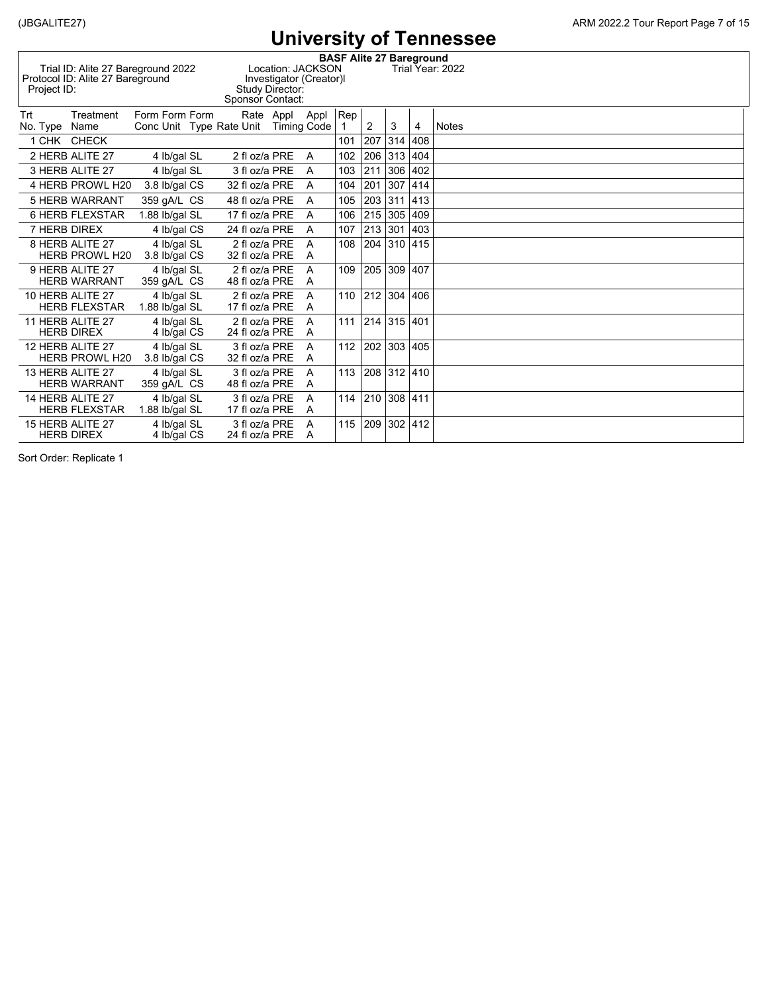|                 |                                                                        |                               |                                      |                                                                 |                     |                                 |         |                |                | UNIVUJUJI U TUNIUJJU |
|-----------------|------------------------------------------------------------------------|-------------------------------|--------------------------------------|-----------------------------------------------------------------|---------------------|---------------------------------|---------|----------------|----------------|----------------------|
| Project ID:     | Trial ID: Alite 27 Bareground 2022<br>Protocol ID: Alite 27 Bareground |                               | Sponsor Contact:                     | Location: JACKSON<br>Investigator (Creator)I<br>Study Director: |                     | <b>BASF Alite 27 Bareground</b> |         |                |                | Trial Year: 2022     |
| Trt<br>No. Type | Treatment<br>Name                                                      | Form Form Form                | Conc Unit Type Rate Unit Timing Code | Rate Appl                                                       | Appl                | $ {\sf Rep} $                   | 2       | 3              | $\overline{4}$ | <b>Notes</b>         |
|                 | 1 CHK CHECK                                                            |                               |                                      |                                                                 |                     | 101                             | 207     | 314            | 408            |                      |
|                 | 2 HERB ALITE 27                                                        | 4 lb/gal SL                   | 2 fl oz/a PRE                        |                                                                 | $\overline{A}$      | 102                             | 206     | 313 404        |                |                      |
|                 | 3 HERB ALITE 27                                                        | 4 lb/gal SL                   | 3 fl oz/a PRE                        |                                                                 | A                   | 103                             | 211     | 306            | 402            |                      |
|                 | 4 HERB PROWL H20                                                       | 3.8 lb/gal CS                 | 32 fl oz/a PRE                       |                                                                 | A                   | 104                             | 201     | 307            | 414            |                      |
|                 | <b>5 HERB WARRANT</b>                                                  | 359 qA/L CS                   | 48 fl oz/a PRE                       |                                                                 | A                   | 105                             | 203     | 311            | 413            |                      |
|                 | <b>6 HERB FLEXSTAR</b>                                                 | 1.88 lb/gal SL                | 17 fl oz/a PRE                       |                                                                 | A                   | 106                             | 215     | 305            | 409            |                      |
| 7 HERB DIREX    |                                                                        | 4 Ib/gal CS                   | 24 fl oz/a PRE                       |                                                                 | A                   | 107                             | 213     | 301            | 403            |                      |
|                 | 8 HERB ALITE 27<br><b>HERB PROWL H20</b>                               | 4 lb/gal SL<br>3.8 lb/gal CS  | 2 fl oz/a PRE<br>32 fl oz/a PRE      |                                                                 | A<br>A              | 108                             | 204     | 310            | 415            |                      |
|                 | 9 HERB ALITE 27<br><b>HERB WARRANT</b>                                 | 4 lb/gal SL<br>359 gA/L CS    | 2 fl oz/a PRE<br>48 fl oz/a PRE      |                                                                 | A<br>A              | 109                             | 205     | 309            | 407            |                      |
|                 | 10 HERB ALITE 27<br><b>HERB FLEXSTAR</b>                               | 4 Ib/gal SL<br>1.88 lb/gal SL | 2 fl oz/a PRE<br>17 fl oz/a PRE      |                                                                 | A<br>A              |                                 | 110 212 | 304 406        |                |                      |
|                 | 11 HERB ALITE 27<br><b>HERB DIREX</b>                                  | 4 lb/gal SL<br>4 Ib/gal CS    | 2 fl oz/a PRE<br>24 fl oz/a PRE      |                                                                 | A<br>A              | 111                             |         | 214 315 401    |                |                      |
|                 | 12 HERB ALITE 27<br><b>HERB PROWL H20</b>                              | 4 lb/gal SL<br>3.8 lb/gal CS  | 3 fl oz/a PRE<br>32 fl oz/a PRE      |                                                                 | A<br>A              | 112                             | 202     | 303 405        |                |                      |
|                 | 13 HERB ALITE 27<br><b>HERB WARRANT</b>                                | 4 lb/gal SL<br>359 qA/L CS    | 3 fl oz/a PRE<br>48 fl oz/a PRE      |                                                                 | A<br>$\overline{A}$ | 113                             | 208     |                | 312 410        |                      |
|                 | 14 HERB ALITE 27<br><b>HERB FLEXSTAR</b>                               | 4 lb/gal SL<br>1.88 lb/gal SL | 3 fl oz/a PRE<br>17 fl oz/a PRE      |                                                                 | A<br>A              | 114                             | 210     | 308 411        |                |                      |
|                 | 15 HERB ALITE 27<br><b>HERB DIREX</b>                                  | 4 lb/gal SL<br>4 Ib/gal CS    | 3 fl oz/a PRE<br>24 fl oz/a PRE      |                                                                 | A<br>A              | 115                             | 209     | $302 \mid 412$ |                |                      |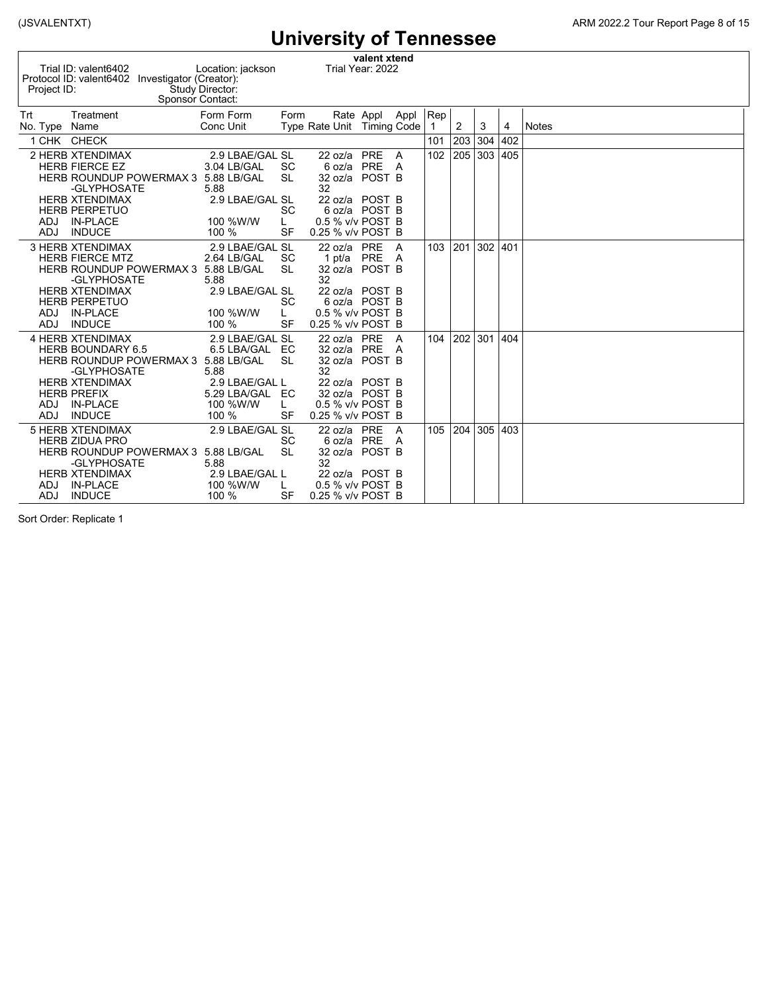| valent xtend<br>Trial ID: valent6402<br>Trial Year: 2022<br>Location: jackson<br>Protocol ID: valent6402 Investigator (Creator):<br>Study Director:<br>Project ID:<br>Sponsor Contact:                                                                                                                                                                |                                                                          |  |  |  |  |  |  |  |  |  |  |  |  |
|-------------------------------------------------------------------------------------------------------------------------------------------------------------------------------------------------------------------------------------------------------------------------------------------------------------------------------------------------------|--------------------------------------------------------------------------|--|--|--|--|--|--|--|--|--|--|--|--|
| Trt<br>Form Form<br>Treatment<br>Form<br>Rate Appl Appl<br>Type Rate Unit Timing Code<br>Conc Unit<br>No. Type Name                                                                                                                                                                                                                                   | $ {\sf Rep}$<br>$\overline{2}$<br>3<br>$\mathbf{1}$<br><b>Notes</b><br>4 |  |  |  |  |  |  |  |  |  |  |  |  |
| 1 CHK CHECK                                                                                                                                                                                                                                                                                                                                           | 402<br>101<br>203<br>304                                                 |  |  |  |  |  |  |  |  |  |  |  |  |
| 2 HERB XTENDIMAX<br>22 oz/a PRE<br>2.9 LBAE/GAL SL<br>6 oz/a PRE<br><b>HERB FIERCE EZ</b><br>3.04 LB/GAL<br><b>SC</b><br>32 oz/a POST B<br>HERB ROUNDUP POWERMAX 3 5.88 LB/GAL<br><b>SL</b><br>32<br>-GLYPHOSATE<br>5.88                                                                                                                              | 102<br>205<br>303<br>405<br>A<br>- A                                     |  |  |  |  |  |  |  |  |  |  |  |  |
| 2.9 LBAE/GAL SL<br><b>HERB XTENDIMAX</b><br>22 oz/a POST B<br><b>HERB PERPETUO</b><br><b>SC</b><br>6 oz/a POST B<br>100 %W/W<br>0.5 % v/v POST B<br>ADJ<br><b>IN-PLACE</b><br>L.<br><b>INDUCE</b><br>0.25 % v/v POST B<br><b>ADJ</b><br>100 %<br><b>SF</b>                                                                                            |                                                                          |  |  |  |  |  |  |  |  |  |  |  |  |
| <b>3 HERB XTENDIMAX</b><br>2.9 LBAE/GAL SL<br>22 oz/a PRE<br><b>HERB FIERCE MTZ</b><br>2.64 LB/GAL<br><b>SC</b><br>1 pt/a PRE A<br><b>SL</b><br>32 oz/a POST B<br>HERB ROUNDUP POWERMAX 3 5.88 LB/GAL<br>32<br>-GLYPHOSATE<br>5.88                                                                                                                    | 302<br>103<br> 201<br>401<br>- A                                         |  |  |  |  |  |  |  |  |  |  |  |  |
| 2.9 LBAE/GAL SL<br><b>HERB XTENDIMAX</b><br>22 oz/a POST B<br><b>HERB PERPETUO</b><br><b>SC</b><br>6 oz/a POST B<br>0.5 % v/v POST B<br><b>IN-PLACE</b><br>100 %W/W<br>ADJ.<br>L.<br><b>INDUCE</b><br><b>SF</b><br><b>ADJ</b><br>100 %<br>0.25 % v/v POST B                                                                                           |                                                                          |  |  |  |  |  |  |  |  |  |  |  |  |
| <b>4 HERB XTENDIMAX</b><br>2.9 LBAE/GAL SL<br>22 oz/a PRE<br>6.5 LBA/GAL EC<br>32 oz/a PRE A<br><b>HERB BOUNDARY 6.5</b><br><b>SL</b><br>32 oz/a POST B<br>HERB ROUNDUP POWERMAX 3 5.88 LB/GAL<br>32<br>-GLYPHOSATE<br>5.88                                                                                                                           | 301<br>104<br>202<br>404<br>A                                            |  |  |  |  |  |  |  |  |  |  |  |  |
| <b>HERB XTENDIMAX</b><br>2.9 LBAE/GAL L<br>22 oz/a POST B<br><b>HERB PREFIX</b><br>5.29 LBA/GAL EC<br>32 oz/a POST B<br><b>IN-PLACE</b><br>100 %W/W<br>0.5 % v/v POST B<br>ADJ<br>L<br><b>INDUCE</b><br><b>ADJ</b><br>100 %<br>SF<br>0.25 % v/v POST B                                                                                                |                                                                          |  |  |  |  |  |  |  |  |  |  |  |  |
| <b>5 HERB XTENDIMAX</b><br>2.9 LBAE/GAL SL<br>22 oz/a PRE<br><b>SC</b><br>6 oz/a PRE A<br><b>HERB ZIDUA PRO</b><br><b>SL</b><br>HERB ROUNDUP POWERMAX 3 5.88 LB/GAL<br>32 oz/a POST B<br>32<br>-GLYPHOSATE<br>5.88<br>2.9 LBAE/GAL L<br><b>HERB XTENDIMAX</b><br>22 oz/a POST B<br><b>IN-PLACE</b><br>100 %W/W<br>0.5 % v/v POST B<br><b>ADJ</b><br>L | 105<br>204<br>305<br>403<br>$\overline{A}$                               |  |  |  |  |  |  |  |  |  |  |  |  |
| <b>INDUCE</b><br><b>SF</b><br>0.25 % v/v POST B<br><b>ADJ</b><br>100 %                                                                                                                                                                                                                                                                                |                                                                          |  |  |  |  |  |  |  |  |  |  |  |  |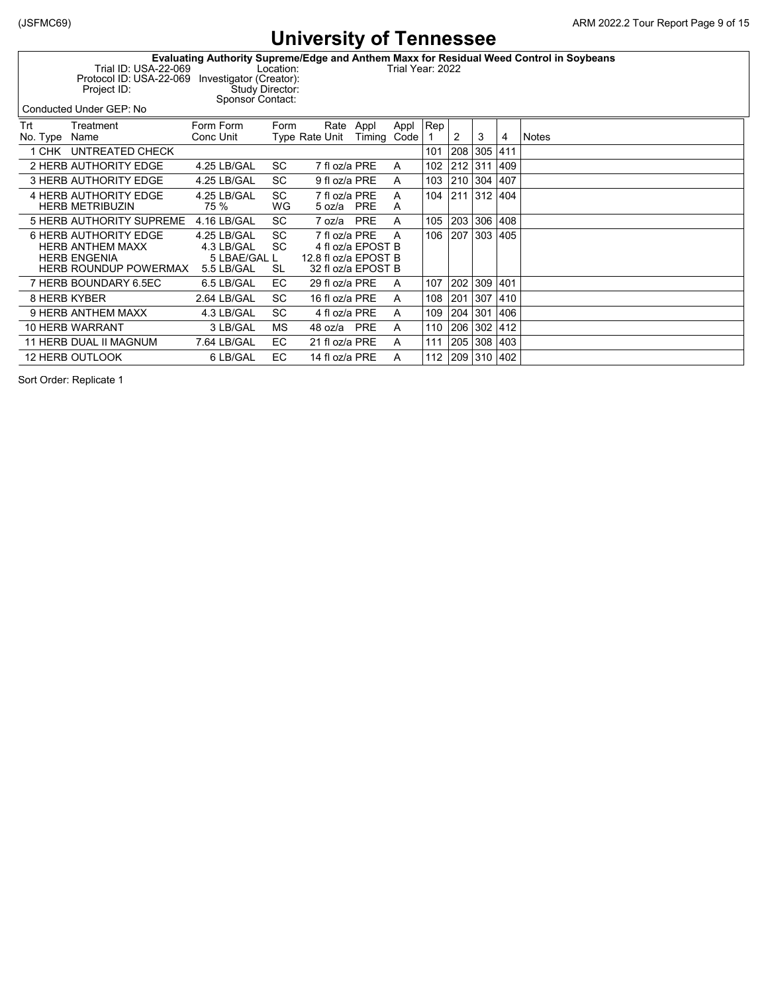| Evaluating Authority Supreme/Edge and Anthem Maxx for Residual Weed Control in Soybeans |  |
|-----------------------------------------------------------------------------------------|--|
|-----------------------------------------------------------------------------------------|--|

Trial ID: USA-22-069 Location: Trial Year: 2022 Protocol ID: USA-22-069 Investigator (Creator): Project ID: Study Director:

Sponsor Contact:

Conducted Under GEP: No

Trt Treatment Form Form Form Rate Appl Appl Rep Type Rate Unit Timing Code  $\begin{array}{c|c|c|c|c|c|c|c} 1 & 2 & 3 & 4 & \textbf{Notes} \end{array}$ 1 CHK UNTREATED CHECK 101 208 305 411 2 HERB AUTHORITY EDGE 4.25 LB/GAL SC 7 fl oz/a PRE A 102 212 311 409 3 HERB AUTHORITY EDGE 4.25 LB/GAL SC 9 fl oz/a PRE A 103 210 304 407 4 HERB AUTHORITY EDGE 4.25 LB/GAL SC 7 fl oz/a PRE A  $\left| \begin{array}{ccc} 104 & 211 & 312 \\ 404 & 56 & 502/3 \end{array} \right|$  404  $\left| \begin{array}{ccc} 211 & 312 & 404 \\ 404 & 56 & 502/3 \end{array} \right|$ HERB METRIBUZIN 75 % WG 5 oz/a PRE A 5 HERB AUTHORITY SUPREME 4.16 LB/GAL SC 7 oz/a PRE A 105 203 306 408 6 HERB AUTHORITY EDGE 4.25 LB/GAL SC 7 fl oz/a PRE A 106 207 303 405 HERB ANTHEM MAXX 4.3 LB/GAL SC 4 fl oz/a EPOST B 5 LBAE/GAL L 12.8 fl oz/a EPOST B<br>5.5 LB/GAL SL 32 fl oz/a EPOST B HERB ROUNDUP POWERMAX 7 HERB BOUNDARY 6.5EC 6.5 LB/GAL EC 29 fl oz/a PRE A 107 202 309 401 8 HERB KYBER 2.64 LB/GAL SC 16 fl oz/a PRE A 108 201 307 410 9 HERB ANTHEM MAXX 4.3 LB/GAL SC 4 fl oz/a PRE A 109 204 301 406 10 HERB WARRANT 3 LB/GAL MS 48 oz/a PRE A 110 206 302 412 11 HERB DUAL II MAGNUM 7.64 LB/GAL EC 21 fl oz/a PRE A 111 205 308 403 12 HERB OUTLOOK 6 LB/GAL EC 14 fl oz/a PRE A 112 209 310 402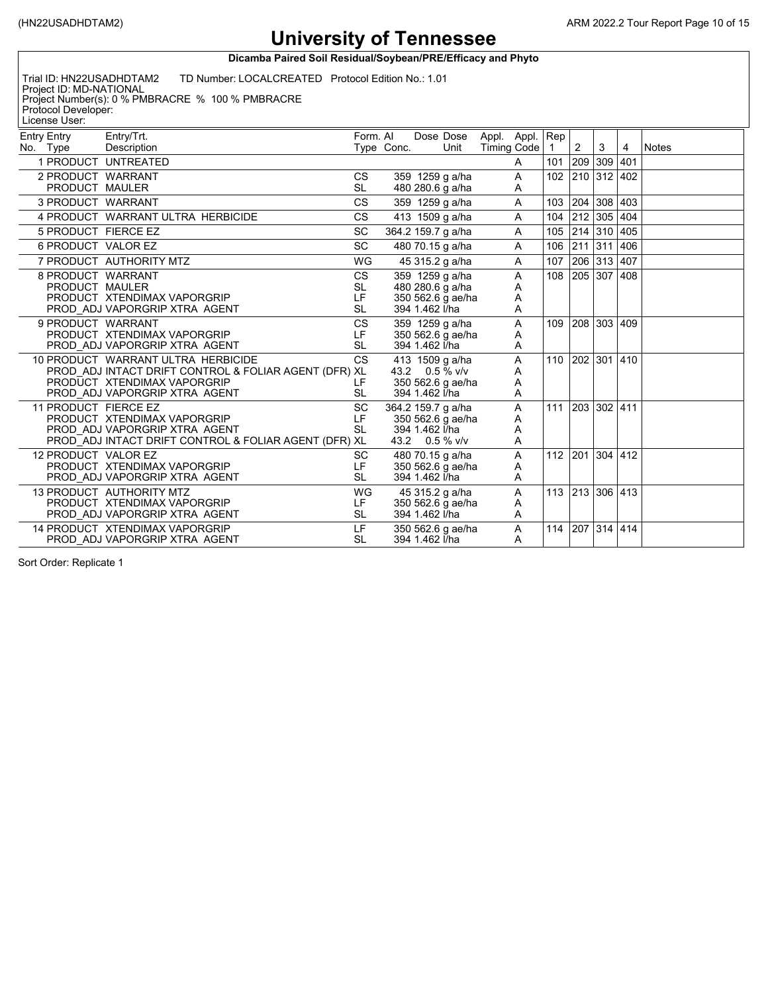**Dicamba Paired Soil Residual/Soybean/PRE/Efficacy and Phyto**

Trial ID: HN22USADHDTAM2 TD Number: LOCALCREATED Protocol Edition No.: 1.01

Project ID: MD-NATIONAL Project Number(s): 0 % PMBRACRE % 100 % PMBRACRE Protocol Developer: License User:

| <b>Entry Entry</b>  | Entry/Trt.                                            | Form. AI  |            |                | Dose Dose          | Appl. Appl. Rep |   |                 |                |                 |     |              |
|---------------------|-------------------------------------------------------|-----------|------------|----------------|--------------------|-----------------|---|-----------------|----------------|-----------------|-----|--------------|
| No. Type            | Description                                           |           | Type Conc. |                | Unit               | Timing Code     |   | $\overline{1}$  | $\overline{2}$ | 3               | 4   | <b>Notes</b> |
|                     | 1 PRODUCT UNTREATED                                   |           |            |                |                    |                 | A | 101             |                | 209 309 401     |     |              |
|                     | 2 PRODUCT WARRANT                                     | <b>CS</b> |            |                | 359 1259 g a/ha    |                 | Α | 102             |                | 210 312 402     |     |              |
|                     | PRODUCT MAULER                                        | <b>SL</b> |            |                | 480 280.6 g a/ha   |                 | A |                 |                |                 |     |              |
|                     | 3 PRODUCT WARRANT                                     | <b>CS</b> |            |                | 359 1259 g a/ha    |                 | A | 103             | 204            | 308 403         |     |              |
|                     | 4 PRODUCT WARRANT ULTRA HERBICIDE                     | <b>CS</b> |            |                | 413 1509 g a/ha    |                 | A | 104             |                | 212 305 404     |     |              |
|                     | 5 PRODUCT FIERCE EZ                                   | SC        |            |                | 364.2 159.7 g a/ha |                 | A | 105             |                | 214 310 405     |     |              |
|                     | 6 PRODUCT VALOR EZ                                    | <b>SC</b> |            |                | 480 70.15 g a/ha   |                 | A | 106             | 211            | 311             | 406 |              |
|                     | 7 PRODUCT AUTHORITY MTZ                               | WG        |            |                | 45 315.2 g a/ha    |                 | A | 107             |                | 206 313 407     |     |              |
|                     | 8 PRODUCT WARRANT                                     | CS        |            |                | 359 1259 g a/ha    |                 | Α | 108             |                | 205 307 408     |     |              |
|                     | PRODUCT MAULER                                        | SL        |            |                | 480 280.6 g a/ha   |                 | Α |                 |                |                 |     |              |
|                     | PRODUCT XTENDIMAX VAPORGRIP                           | LF        |            |                | 350 562.6 g ae/ha  |                 | Α |                 |                |                 |     |              |
|                     | PROD ADJ VAPORGRIP XTRA AGENT                         | <b>SL</b> |            | 394 1.462 l/ha |                    |                 | A |                 |                |                 |     |              |
|                     | 9 PRODUCT WARRANT                                     | <b>CS</b> |            |                | 359 1259 g a/ha    |                 | A |                 |                | 109 208 303 409 |     |              |
|                     | PRODUCT XTENDIMAX VAPORGRIP                           | LF        |            |                | 350 562.6 g ae/ha  |                 | Α |                 |                |                 |     |              |
|                     | PROD ADJ VAPORGRIP XTRA AGENT                         | <b>SL</b> |            | 394 1.462 l/ha |                    |                 | A |                 |                |                 |     |              |
|                     | 10 PRODUCT WARRANT ULTRA HERBICIDE                    | <b>CS</b> |            |                | 413 1509 g a/ha    |                 | A | 110 202 301 410 |                |                 |     |              |
|                     | PROD ADJ INTACT DRIFT CONTROL & FOLIAR AGENT (DFR) XL |           |            |                | 43.2 0.5 % v/v     |                 | A |                 |                |                 |     |              |
|                     | PRODUCT XTENDIMAX VAPORGRIP                           | LF        |            |                | 350 562.6 g ae/ha  |                 | Α |                 |                |                 |     |              |
|                     | PROD ADJ VAPORGRIP XTRA AGENT                         | <b>SL</b> |            | 394 1.462 l/ha |                    |                 | Α |                 |                |                 |     |              |
|                     | 11 PRODUCT FIERCE EZ                                  | <b>SC</b> |            |                | 364.2 159.7 g a/ha |                 | A | 111 203 302 411 |                |                 |     |              |
|                     | PRODUCT XTENDIMAX VAPORGRIP                           | LF        |            |                | 350 562.6 g ae/ha  |                 | Α |                 |                |                 |     |              |
|                     | PROD ADJ VAPORGRIP XTRA AGENT                         | <b>SL</b> |            | 394 1.462 l/ha |                    |                 | Α |                 |                |                 |     |              |
|                     | PROD ADJ INTACT DRIFT CONTROL & FOLIAR AGENT (DFR) XL |           |            |                | 43.2 0.5 % v/v     |                 | A |                 |                |                 |     |              |
| 12 PRODUCT VALOR EZ |                                                       | <b>SC</b> |            |                | 480 70.15 g a/ha   |                 | Α |                 |                | 112 201 304 412 |     |              |
|                     | PRODUCT XTENDIMAX VAPORGRIP                           | LF        |            |                | 350 562.6 g ae/ha  |                 | Α |                 |                |                 |     |              |
|                     | PROD ADJ VAPORGRIP XTRA AGENT                         | <b>SL</b> |            | 394 1.462 l/ha |                    |                 | A |                 |                |                 |     |              |
|                     | 13 PRODUCT AUTHORITY MTZ                              | WG        |            |                | 45 315.2 g a/ha    |                 | A |                 |                | 113 213 306 413 |     |              |
|                     | PRODUCT XTENDIMAX VAPORGRIP                           | LF.       |            |                | 350 562.6 g ae/ha  |                 | A |                 |                |                 |     |              |
|                     | PROD ADJ VAPORGRIP XTRA AGENT                         | <b>SL</b> |            | 394 1.462 l/ha |                    |                 | A |                 |                |                 |     |              |
|                     | 14 PRODUCT XTENDIMAX VAPORGRIP                        | LF.       |            |                | 350 562.6 g ae/ha  |                 | Α | 114             |                | 207 314 414     |     |              |
|                     | PROD ADJ VAPORGRIP XTRA AGENT                         | <b>SL</b> |            | 394 1.462 l/ha |                    |                 | A |                 |                |                 |     |              |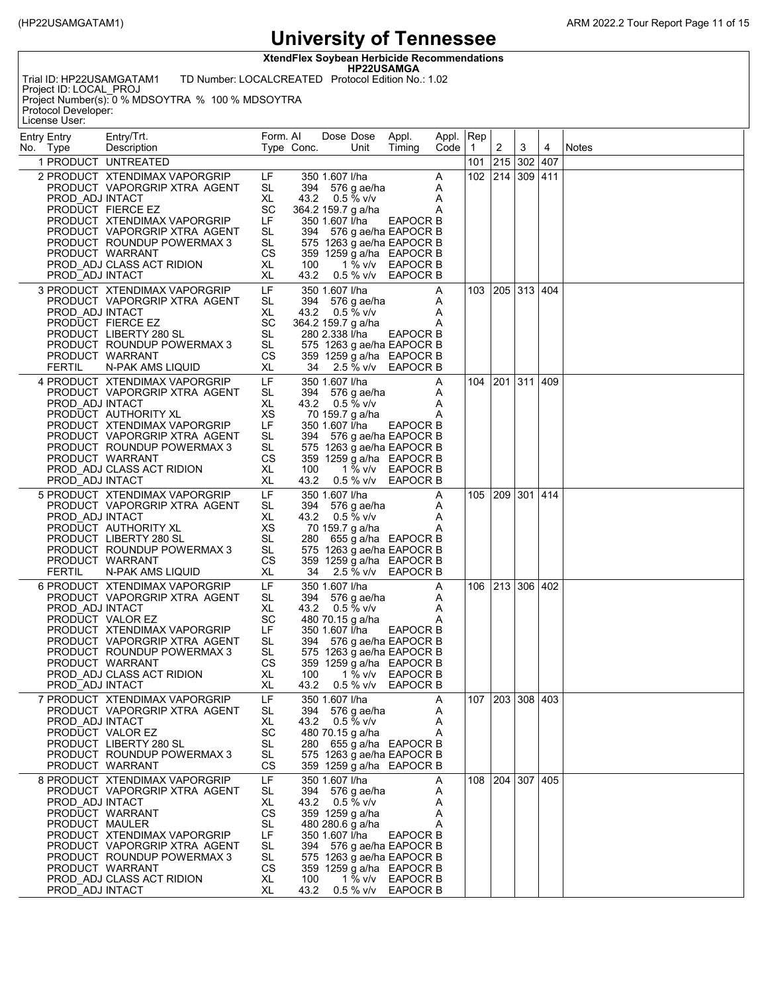**XtendFlex Soybean Herbicide Recommendations**

**HP22USAMGA** Trial ID: HP22USAMGATAM1 TD Number: LOCALCREATED Protocol Edition No.: 1.02

Project ID: LOCAL\_PROJ Project Number(s): 0 % MDSOYTRA % 100 % MDSOYTRA Protocol Developer:

License User:

| <b>Entry Entry</b><br>No. Type                       | Entry/Trt.<br>Description                                                                                                                                                                                                          | Form. Al                                                                     | Type Conc.          | Dose Dose<br>Unit                                                                                                                                                                                          | Appl.<br>Timing                                           | Appl. Rep<br>Code   1 |     | 2               | 3 | 4 | <b>Notes</b> |
|------------------------------------------------------|------------------------------------------------------------------------------------------------------------------------------------------------------------------------------------------------------------------------------------|------------------------------------------------------------------------------|---------------------|------------------------------------------------------------------------------------------------------------------------------------------------------------------------------------------------------------|-----------------------------------------------------------|-----------------------|-----|-----------------|---|---|--------------|
|                                                      | 1 PRODUCT UNTREATED                                                                                                                                                                                                                |                                                                              |                     |                                                                                                                                                                                                            |                                                           |                       | 101 | 215 302 407     |   |   |              |
| PROD ADJ INTACT<br>PROD ADJ INTACT                   | 2 PRODUCT XTENDIMAX VAPORGRIP<br>PRODUCT VAPORGRIP XTRA AGENT<br>PRODUCT FIERCE EZ<br>PRODUCT XTENDIMAX VAPORGRIP<br>PRODUCT VAPORGRIP XTRA AGENT<br>PRODUCT ROUNDUP POWERMAX 3<br>PRODUCT WARRANT<br>PROD ADJ CLASS ACT RIDION    | LF.<br>SL<br>XL<br>SC<br>LF<br>SL<br>SL<br>CS<br>XL<br>XL                    | 100<br>43.2         | 350 1.607 l/ha<br>394 576 g ae/ha<br>43.2 0.5 % v/v<br>364.2 159.7 g a/ha<br>350 1.607 l/ha<br>394 576 g ae/ha EAPOCR B<br>575 1263 g ae/ha EAPOCR B<br>359 1259 g a/ha EAPOCR B                           | <b>EAPOCR B</b><br>1 % v/v EAPOCR B<br>0.5 % v/v EAPOCR B | A<br>A<br>Α<br>Α      | 102 | 214 309 411     |   |   |              |
| PROD ADJ INTACT<br><b>FERTIL</b>                     | 3 PRODUCT XTENDIMAX VAPORGRIP<br>PRODUCT VAPORGRIP XTRA AGENT<br>PRODUCT FIERCE EZ<br>PRODUCT LIBERTY 280 SL<br>PRODUCT ROUNDUP POWERMAX 3<br>PRODUCT WARRANT<br>N-PAK AMS LIQUID                                                  | LF<br>SL<br>XL<br>SC<br><b>SL</b><br><b>SL</b><br>СS<br>XL                   | 34                  | 350 1.607 l/ha<br>394 576 g ae/ha<br>43.2 $0.5\%$ v/v<br>364.2 159.7 g a/ha<br>280 2.338 l/ha<br>575 1263 g ae/ha EAPOCR B<br>359 1259 g a/ha EAPOCR B                                                     | EAPOCR B<br>2.5 % v/v EAPOCR B                            | A<br>A<br>A<br>Α      |     | 103 205 313 404 |   |   |              |
| PROD ADJ INTACT<br>PROD ADJ INTACT                   | 4 PRODUCT XTENDIMAX VAPORGRIP<br>PRODUCT VAPORGRIP XTRA AGENT<br>PRODUCT AUTHORITY XL<br>PRODUCT XTENDIMAX VAPORGRIP<br>PRODUCT VAPORGRIP XTRA AGENT<br>PRODUCT ROUNDUP POWERMAX 3<br>PRODUCT WARRANT<br>PROD ADJ CLASS ACT RIDION | LF<br>SL<br>XL<br>XS<br>LF<br>SL<br>SL<br>CS<br>XL<br>XL                     | 100                 | 350 1.607 l/ha<br>394 576 g ae/ha<br>43.2 $0.5\%$ v/v<br>70 159.7 g a/ha<br>350 1.607 l/ha<br>394 576 g ae/ha EAPOCR B<br>575 1263 g ae/ha EAPOCR B<br>359 1259 g a/ha EAPOCR B<br>43.2 0.5 % v/v EAPOCR B | EAPOCR B<br>1 % v/v EAPOCR B                              | A<br>A<br>A<br>Α      |     | 104 201 311 409 |   |   |              |
| PROD ADJ INTACT<br><b>FERTIL</b>                     | 5 PRODUCT XTENDIMAX VAPORGRIP<br>PRODUCT VAPORGRIP XTRA AGENT<br>PRODUCT AUTHORITY XL<br>PRODUCT LIBERTY 280 SL<br>PRODUCT ROUNDUP POWERMAX 3<br>PRODUCT WARRANT<br>N-PAK AMS LIQUID                                               | LF<br>SL<br>XL<br>XS<br>SL<br>SL<br>СS<br>XL                                 | 34                  | 350 1.607 l/ha<br>394 576 g ae/ha<br>43.2 $0.5\%$ v/v<br>70 159.7 g a/ha<br>280 655 g a/ha EAPOCR B<br>575 1263 g ae/ha EAPOCR B<br>359 1259 g a/ha EAPOCR B                                               | 2.5 % v/v EAPOCR B                                        | Α<br>A<br>A<br>A      |     | 105 209 301 414 |   |   |              |
| PROD ADJ INTACT<br>PROD_ADJ INTACT                   | 6 PRODUCT XTENDIMAX VAPORGRIP<br>PRODUCT VAPORGRIP XTRA AGENT<br>PRODUCT VALOR EZ<br>PRODUCT XTENDIMAX VAPORGRIP<br>PRODUCT VAPORGRIP XTRA AGENT<br>PRODUCT ROUNDUP POWERMAX 3<br>PRODUCT WARRANT<br>PROD ADJ CLASS ACT RIDION     | LF<br>SL<br>XL<br>SC<br>LF<br>SL<br>SL<br>CS<br>XL<br>XL                     | 100<br>43.2         | 350 1.607 l/ha<br>394 576 g ae/ha<br>43.2 $0.5\%$ v/v<br>480 70.15 g a/ha<br>350 1.607 l/ha<br>394 576 g ae/ha EAPOCR B<br>575 1263 g ae/ha EAPOCR B<br>359 1259 g a/ha EAPOCR B                           | EAPOCR B<br>1 % v/v EAPOCR B<br>0.5 % v/v EAPOCR B        | A<br>A<br>A<br>A      |     | 106 213 306 402 |   |   |              |
| PROD ADJ INTACT                                      | 7 PRODUCT XTENDIMAX VAPORGRIP<br>PRODUCT VAPORGRIP XTRA AGENT<br>PRODUCT VALOR EZ<br>PRODUCT LIBERTY 280 SL<br>PRODUCT ROUNDUP POWERMAX 3<br>PRODUCT WARRANT                                                                       | LF<br>SL<br>XL<br>SC<br>SL<br>SL<br>CS                                       | 280                 | 350 1.607 l/ha<br>394 576 g ae/ha<br>43.2 $0.5\%$ v/v<br>480 70.15 g a/ha<br>575 1263 g ae/ha EAPOCR B<br>359 1259 g a/ha EAPOCR B                                                                         | 655 g a/ha EAPOCR B                                       | Α<br>A<br>A<br>Α      | 107 | 203 308 403     |   |   |              |
| PROD ADJ INTACT<br>PRODUCT MAULER<br>PROD ADJ INTACT | 8 PRODUCT XTENDIMAX VAPORGRIP<br>PRODUCT VAPORGRIP XTRA AGENT<br>PRODUCT WARRANT<br>PRODUCT XTENDIMAX VAPORGRIP<br>PRODUCT VAPORGRIP XTRA AGENT<br>PRODUCT ROUNDUP POWERMAX 3<br>PRODUCT WARRANT<br>PROD ADJ CLASS ACT RIDION      | LF<br>SL<br>XL<br>СS<br>SL<br>LF<br><b>SL</b><br><b>SL</b><br>СS<br>XL<br>XL | 43.2<br>100<br>43.2 | 350 1.607 l/ha<br>394 576 g ae/ha<br>$0.5\%$ v/v<br>359 1259 g a/ha<br>480 280.6 g a/ha<br>350 1.607 l/ha<br>394 576 g ae/ha EAPOCR B<br>575 1263 g ae/ha EAPOCR B<br>359 1259 g a/ha EAPOCR B             | EAPOCR B<br>1 % v/v EAPOCR B<br>0.5 % v/v EAPOCR B        | A<br>Α<br>A<br>A<br>Α |     | 108 204 307 405 |   |   |              |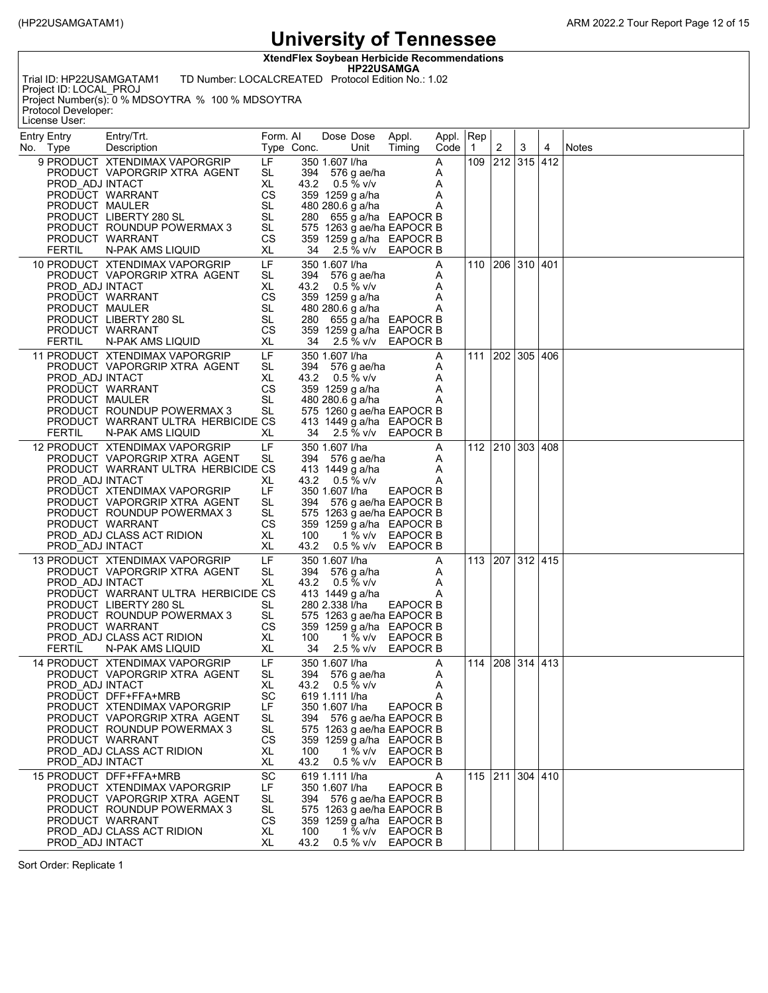**XtendFlex Soybean Herbicide Recommendations**

**HP22USAMGA** Trial ID: HP22USAMGATAM1 TD Number: LOCALCREATED Protocol Edition No.: 1.02

Project ID: LOCAL\_PROJ Project Number(s): 0 % MDSOYTRA % 100 % MDSOYTRA Protocol Developer:

License User:

| <b>Entry Entry</b><br>No. Type                     | Entry/Trt.<br>Description                                                                                                                                                                                                                         | Form. AI                                                  | Type Conc.         |                                                    | Dose Dose<br>Unit                                                          | Appl.<br>Timing                                                                                                                              | Appl. Rep<br>Code     | $\vert$ 1       | $\overline{2}$ | 3               | 4 | Notes |
|----------------------------------------------------|---------------------------------------------------------------------------------------------------------------------------------------------------------------------------------------------------------------------------------------------------|-----------------------------------------------------------|--------------------|----------------------------------------------------|----------------------------------------------------------------------------|----------------------------------------------------------------------------------------------------------------------------------------------|-----------------------|-----------------|----------------|-----------------|---|-------|
| PROD ADJ INTACT<br>PRODUCT MAULER<br><b>FERTIL</b> | 9 PRODUCT XTENDIMAX VAPORGRIP<br>PRODUCT VAPORGRIP XTRA AGENT<br>PRODUCT WARRANT<br>PRODUCT LIBERTY 280 SL<br>PRODUCT ROUNDUP POWERMAX 3<br>PRODUCT WARRANT<br>N-PAK AMS LIQUID                                                                   | LF<br>SL<br>XL<br>CS<br><b>SL</b><br>SL<br>SL<br>СS<br>XL |                    | 350 1.607 l/ha                                     | 394 576 g ae/ha<br>43.2 $0.5\%$ v/v<br>359 1259 g a/ha<br>480 280.6 g a/ha | 280 655 g a/ha EAPOCR B<br>575 1263 g ae/ha EAPOCR B<br>359 1259 g a/ha EAPOCR B<br>34 2.5 % v/v EAPOCR B                                    | Α<br>Α<br>Α<br>Α<br>Α | 109 212 315 412 |                |                 |   |       |
| PROD ADJ INTACT<br>PRODUCT MAULER<br><b>FERTIL</b> | 10 PRODUCT XTENDIMAX VAPORGRIP<br>PRODUCT VAPORGRIP XTRA AGENT<br>PRODUCT WARRANT<br>PRODUCT LIBERTY 280 SL<br>PRODUCT WARRANT<br>N-PAK AMS LIQUID                                                                                                | LF<br>SL<br>XL<br>CS<br>SL<br>SL<br><b>CS</b><br>XL       |                    | 350 1.607 l/ha                                     | 394 576 g ae/ha<br>43.2 $0.5\%$ v/v<br>359 1259 g a/ha<br>480 280.6 g a/ha | 280 655 g a/ha EAPOCR B<br>359 1259 g a/ha EAPOCR B<br>34 2.5 % v/v EAPOCR B                                                                 | Α<br>A<br>Α<br>Α<br>A |                 |                | 110 206 310 401 |   |       |
| PROD ADJ INTACT<br>PRODUCT MAULER<br><b>FERTIL</b> | 11 PRODUCT XTENDIMAX VAPORGRIP<br>PRODUCT VAPORGRIP XTRA AGENT<br>PRODUCT WARRANT<br>PRODUCT ROUNDUP POWERMAX 3<br>PRODUCT WARRANT ULTRA HERBICIDE CS<br>N-PAK AMS LIQUID                                                                         | LF<br>SL<br>XL<br>CS<br><b>SL</b><br><b>SL</b><br>XL      |                    | 350 1.607 l/ha                                     | 394 576 g ae/ha<br>43.2 $0.5\%$ v/v<br>359 1259 g a/ha<br>480 280.6 g a/ha | 575 1260 g ae/ha EAPOCR B<br>413 1449 g a/ha EAPOCR B<br>34 2.5 % v/v EAPOCR B                                                               | A<br>A<br>A<br>Α<br>Α | 111             |                | 202 305 406     |   |       |
| PROD ADJ INTACT<br>PROD ADJ INTACT                 | 12 PRODUCT XTENDIMAX VAPORGRIP<br>PRODUCT VAPORGRIP XTRA AGENT<br>PRODUCT WARRANT ULTRA HERBICIDE CS<br>PRODUCT XTENDIMAX VAPORGRIP<br>PRODUCT VAPORGRIP XTRA AGENT<br>PRODUCT ROUNDUP POWERMAX 3<br>PRODUCT WARRANT<br>PROD ADJ CLASS ACT RIDION | LF<br>SL<br>XL<br>LF<br>SL<br>SL<br><b>CS</b><br>XL<br>XL | 100                | 350 1.607 l/ha<br>350 1.607 l/ha                   | 394 576 g ae/ha<br>413 1449 g a/ha<br>43.2 0.5 % v/v                       | EAPOCR B<br>394 576 g ae/ha EAPOCR B<br>575 1263 g ae/ha EAPOCR B<br>359 1259 g a/ha EAPOCR B<br>1 % v/v EAPOCR B<br>43.2 0.5 % v/v EAPOCR B | Α<br>Α<br>Α<br>Α      | 112 210 303 408 |                |                 |   |       |
| PROD ADJ INTACT<br><b>FERTIL</b>                   | 13 PRODUCT XTENDIMAX VAPORGRIP<br>PRODUCT VAPORGRIP XTRA AGENT<br>PRODUCT WARRANT ULTRA HERBICIDE CS<br>PRODUCT LIBERTY 280 SL<br>PRODUCT ROUNDUP POWERMAX 3<br>PRODUCT WARRANT<br>PROD ADJ CLASS ACT RIDION<br>N-PAK AMS LIQUID                  | LF<br>SL<br>XL<br>SL<br>SL<br>CS<br>XL<br>XL              | 100<br>34          | 350 1.607 l/ha<br>280 2.338 I/ha                   | 394 576 g a/ha<br>43.2 $0.5\%$ v/v<br>413 1449 g a/ha<br>1 % v/v           | EAPOCR B<br>575 1263 g ae/ha EAPOCR B<br>359 1259 g a/ha EAPOCR B<br>EAPOCR B<br>2.5 % v/v EAPOCR B                                          | Α<br>Α<br>Α<br>Α      | 113 207 312 415 |                |                 |   |       |
| PROD ADJ INTACT<br>PROD_ADJ INTACT                 | 14 PRODUCT XTENDIMAX VAPORGRIP<br>PRODUCT VAPORGRIP XTRA AGENT<br>PRODUCT DFF+FFA+MRB<br>PRODUCT XTENDIMAX VAPORGRIP<br>PRODUCT VAPORGRIP XTRA AGENT<br>PRODUCT ROUNDUP POWERMAX 3<br>PRODUCT WARRANT<br>PROD ADJ CLASS ACT RIDION                | LF<br>SL<br>XL<br>SC<br>LF<br>SL<br>SL<br>CS<br>XL<br>XL  | 394<br>100<br>43.2 | 350 1.607 l/ha<br>619 1.111 l/ha<br>350 1.607 l/ha | 394 576 g ae/ha<br>43.2 0.5 % v/v<br>1 % $v/v$<br>$0.5 %$ v/v              | <b>EAPOCR B</b><br>576 g ae/ha EAPOCR B<br>575 1263 g ae/ha EAPOCR B<br>359 1259 g a/ha EAPOCR B<br><b>EAPOCR B</b><br><b>EAPOCR B</b>       | A<br>A<br>A<br>Α      | 114 208 314 413 |                |                 |   |       |
| PROD ADJ INTACT                                    | 15 PRODUCT DFF+FFA+MRB<br>PRODUCT XTENDIMAX VAPORGRIP<br>PRODUCT VAPORGRIP XTRA AGENT<br>PRODUCT ROUNDUP POWERMAX 3<br>PRODUCT WARRANT<br>PROD ADJ CLASS ACT RIDION                                                                               | SC<br>LF<br>SL<br>SL<br>CS<br>XL<br>XL                    | 100<br>43.2        | 619 1.111 l/ha<br>350 1.607 l/ha                   |                                                                            | EAPOCR B<br>394 576 g ae/ha EAPOCR B<br>575 1263 g ae/ha EAPOCR B<br>359 1259 g a/ha EAPOCR B<br>1 % v/v EAPOCR B<br>0.5 % v/v EAPOCR B      | A                     |                 |                | 115 211 304 410 |   |       |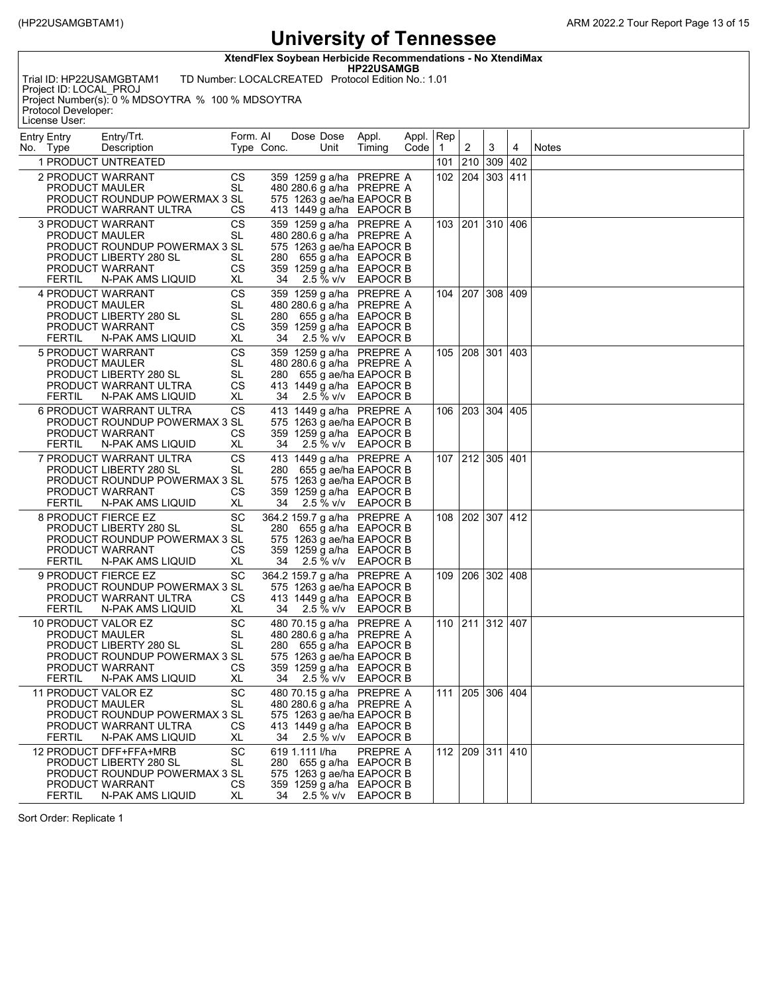**XtendFlex Soybean Herbicide Recommendations - No XtendiMax**

**HP22USAMGB**

Trial ID: HP22USAMGBTAM1 TD Number: LOCALCREATED Protocol Edition No.: 1.01 Project ID: LOCAL\_PROJ Project Number(s): 0 % MDSOYTRA % 100 % MDSOYTRA Protocol Developer: License User:

| <b>Entry Entry</b><br>No. Type                              | Entry/Trt.<br>Description                                                                                                 | Form. AI                           | Type Conc. |                | Dose Dose<br>Unit | Appl.<br>Timing                                                                                                                                                     | Appl. Rep<br>Code   1 |                 | 2       | 3               | 4   | Notes |
|-------------------------------------------------------------|---------------------------------------------------------------------------------------------------------------------------|------------------------------------|------------|----------------|-------------------|---------------------------------------------------------------------------------------------------------------------------------------------------------------------|-----------------------|-----------------|---------|-----------------|-----|-------|
|                                                             | 1 PRODUCT UNTREATED                                                                                                       |                                    |            |                |                   |                                                                                                                                                                     |                       | 101             | 210 309 |                 | 402 |       |
| 2 PRODUCT WARRANT<br>PRODUCT MAULER                         | PRODUCT ROUNDUP POWERMAX 3 SL<br>PRODUCT WARRANT ULTRA                                                                    | СS<br>SL<br>СS                     |            |                |                   | 359 1259 g a/ha PREPRE A<br>480 280.6 g a/ha PREPRE A<br>575 1263 g ae/ha EAPOCR B<br>413 1449 g a/ha EAPOCR B                                                      |                       | 102             | 204 303 |                 | 411 |       |
| <b>3 PRODUCT WARRANT</b><br>PRODUCT MAULER<br><b>FERTIL</b> | PRODUCT ROUNDUP POWERMAX 3 SL<br>PRODUCT LIBERTY 280 SL<br>PRODUCT WARRANT<br>N-PAK AMS LIQUID                            | CS<br>SL<br>SL<br>СS<br>XL         | 34         |                | 2.5 % v/v         | 359 1259 g a/ha PREPRE A<br>480 280.6 g a/ha PREPRE A<br>575 1263 g ae/ha EAPOCR B<br>280 655 g a/ha EAPOCR B<br>359 1259 g a/ha EAPOCR B<br>EAPOCR B               |                       |                 |         | 103 201 310 406 |     |       |
| <b>4 PRODUCT WARRANT</b><br>PRODUCT MAULER<br>FERTIL        | PRODUCT LIBERTY 280 SL<br>PRODUCT WARRANT<br>N-PAK AMS LIQUID                                                             | CS<br>SL<br><b>SL</b><br>СS<br>XL. | 34         |                | 2.5 % v/v         | 359 1259 g a/ha PREPRE A<br>480 280.6 g a/ha PREPRE A<br>280 655 g a/ha EAPOCR B<br>359 1259 g a/ha EAPOCR B<br>EAPOCR B                                            |                       |                 |         | 104 207 308 409 |     |       |
| 5 PRODUCT WARRANT<br>PRODUCT MAULER<br><b>FERTIL</b>        | PRODUCT LIBERTY 280 SL<br>PRODUCT WARRANT ULTRA<br>N-PAK AMS LIQUID                                                       | CS<br>SL<br><b>SL</b><br>СS<br>XL  | 34         |                |                   | 359 1259 g a/ha PREPRE A<br>480 280.6 g a/ha PREPRE A<br>280 655 g ae/ha EAPOCR B<br>413 1449 g a/ha EAPOCR B<br>2.5 % v/v EAPOCR B                                 |                       |                 |         | 105 208 301 403 |     |       |
| <b>FERTIL</b>                                               | 6 PRODUCT WARRANT ULTRA<br>PRODUCT ROUNDUP POWERMAX 3 SL<br>PRODUCT WARRANT<br>N-PAK AMS LIQUID                           | CS<br>СS<br>XL                     | 34         |                | 2.5 % v/v         | 413 1449 g a/ha PREPRE A<br>575 1263 g ae/ha EAPOCR B<br>359 1259 g a/ha EAPOCR B<br><b>EAPOCR B</b>                                                                |                       | 106             |         | 203 304 405     |     |       |
| <b>FERTIL</b>                                               | 7 PRODUCT WARRANT ULTRA<br>PRODUCT LIBERTY 280 SL<br>PRODUCT ROUNDUP POWERMAX 3 SL<br>PRODUCT WARRANT<br>N-PAK AMS LIQUID | CS<br>SL<br>СS<br>XL               | 34         |                |                   | 413 1449 g a/ha PREPRE A<br>280 655 g ae/ha EAPOCR B<br>575 1263 g ae/ha EAPOCR B<br>359 1259 g a/ha EAPOCR B<br>2.5 % v/v EAPOCR B                                 |                       |                 |         | 107 212 305 401 |     |       |
| 8 PRODUCT FIERCE EZ<br><b>FERTIL</b>                        | PRODUCT LIBERTY 280 SL<br>PRODUCT ROUNDUP POWERMAX 3 SL<br>PRODUCT WARRANT<br>N-PAK AMS LIQUID                            | SC<br><b>SL</b><br>СS<br>XL        | 34         |                | 2.5 % v/v         | 364.2 159.7 g a/ha PREPRE A<br>280 655 g a/ha EAPOCR B<br>575 1263 g ae/ha EAPOCR B<br>359 1259 g a/ha EAPOCR B<br><b>EAPOCR B</b>                                  |                       | 108             |         | 202 307 412     |     |       |
| 9 PRODUCT FIERCE EZ<br>FERTIL                               | PRODUCT ROUNDUP POWERMAX 3 SL<br>PRODUCT WARRANT ULTRA<br>N-PAK AMS LIQUID                                                | SC<br>СS<br>XL.                    | 34         |                | 2.5 % v/v         | 364.2 159.7 g a/ha PREPRE A<br>575 1263 g ae/ha EAPOCR B<br>413 1449 g a/ha EAPOCR B<br>EAPOCR B                                                                    |                       | 109             |         | 206 302 408     |     |       |
| 10 PRODUCT VALOR EZ<br>PRODUCT MAULER<br>FERTIL             | PRODUCT LIBERTY 280 SL<br>PRODUCT ROUNDUP POWERMAX 3 SL<br>PRODUCT WARRANT<br>N-PAK AMS LIQUID                            | SC<br>SL<br>SL<br>СS<br>XL         |            |                |                   | 480 70.15 g a/ha PREPRE A<br>480 280.6 g a/ha PREPRE A<br>280 655 g a/ha EAPOCR B<br>575 1263 g ae/ha EAPOCR B<br>359 1259 g a/ha EAPOCR B<br>34 2.5 % v/v EAPOCR B |                       |                 |         | 110 211 312 407 |     |       |
| 11 PRODUCT VALOR EZ<br>PRODUCT MAULER<br><b>FERTIL</b>      | PRODUCT ROUNDUP POWERMAX 3 SL<br>PRODUCT WARRANT ULTRA<br>N-PAK AMS LIQUID                                                | $\overline{SC}$<br>SL<br>СS<br>XL. | 34         |                | $2.5 %$ V/v       | 480 70.15 g a/ha PREPRE A<br>480 280.6 g a/ha PREPRE A<br>575 1263 g ae/ha EAPOCR B<br>413 1449 g a/ha EAPOCR B<br>EAPOCR B                                         |                       | 111 205 306 404 |         |                 |     |       |
| FERTIL                                                      | 12 PRODUCT DFF+FFA+MRB<br>PRODUCT LIBERTY 280 SL<br>PRODUCT ROUNDUP POWERMAX 3 SL<br>PRODUCT WARRANT<br>N-PAK AMS LIQUID  | SC<br>SL<br>СS<br>XL               | 34         | 619 1.111 l/ha |                   | PREPRE A<br>280 655 g a/ha EAPOCR B<br>575 1263 g ae/ha EAPOCR B<br>359 1259 g a/ha EAPOCR B<br>2.5 % v/v EAPOCR B                                                  |                       |                 |         | 112 209 311 410 |     |       |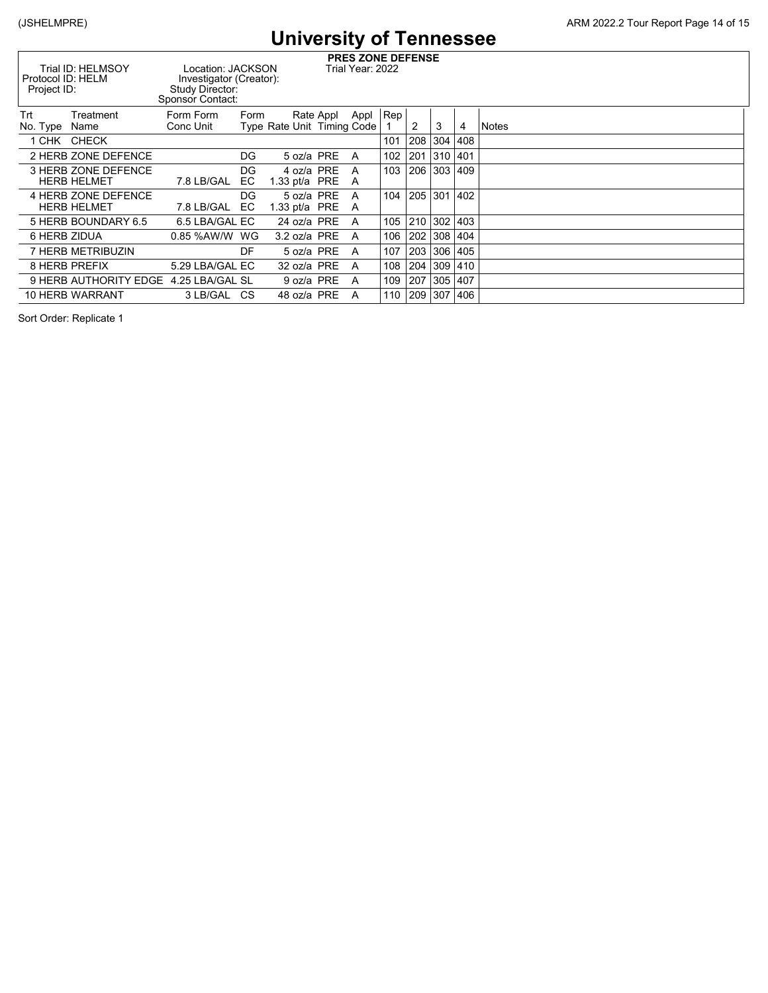| <b>PRES ZONE DEFENSE</b><br>Trial ID: HELMSOY<br>Location: JACKSON<br>Trial Year: 2022<br>Protocol ID: HELM<br>Investigator (Creator):<br>Study Director:<br>Project ID:<br>Sponsor Contact: |                                           |                        |           |                               |           |        |              |     |          |             |       |
|----------------------------------------------------------------------------------------------------------------------------------------------------------------------------------------------|-------------------------------------------|------------------------|-----------|-------------------------------|-----------|--------|--------------|-----|----------|-------------|-------|
| Trt<br>No. Type                                                                                                                                                                              | Treatment<br>Name                         | Form Form<br>Conc Unit | Form      | Type Rate Unit Timing Code    | Rate Appl | Appl   | $ {\sf Rep}$ | 2   | 3        | 4           | Notes |
|                                                                                                                                                                                              | 1 CHK CHECK                               |                        |           |                               |           |        | 101          | 208 |          | 304 408     |       |
|                                                                                                                                                                                              | 2 HERB ZONE DEFENCE                       |                        | DG.       | 5 oz/a PRE                    |           | A      | 102          | 201 | 310 401  |             |       |
|                                                                                                                                                                                              | 3 HERB ZONE DEFENCE<br><b>HERB HELMET</b> | 7.8 LB/GAL             | DG.<br>EC | 4 oz/a PRE<br>1.33 pt/a $PRE$ |           | A<br>A | 103          | 206 | 303  409 |             |       |
|                                                                                                                                                                                              | 4 HERB ZONE DEFENCE<br><b>HERB HELMET</b> | 7.8 LB/GAL             | DG<br>EC. | 5 oz/a PRE<br>1.33 pt/a $PRE$ |           | A<br>A | 104          | 205 |          | 301 402     |       |
|                                                                                                                                                                                              | 5 HERB BOUNDARY 6.5                       | 6.5 LBA/GAL EC         |           | 24 oz/a PRE                   |           | A      | 105          | 210 |          | 302 403     |       |
|                                                                                                                                                                                              | 6 HERB ZIDUA                              | 0.85 %AW/W WG          |           | $3.2$ oz/a PRE                |           | A      | 106          |     |          | 202 308 404 |       |
|                                                                                                                                                                                              | 7 HERB METRIBUZIN                         |                        | DF        | 5 oz/a PRE                    |           | A      | 107          | 203 |          | 306   405   |       |
|                                                                                                                                                                                              | <b>8 HERB PREFIX</b>                      | 5.29 LBA/GAL EC        |           | 32 oz/a PRE                   |           | A      | 108          | 204 |          | 309 410     |       |
|                                                                                                                                                                                              | 9 HERB AUTHORITY EDGE                     | 4.25 LBA/GAL SL        |           | 9 oz/a PRE                    |           | A      | 109          | 207 | 305 407  |             |       |
|                                                                                                                                                                                              | <b>10 HERB WARRANT</b>                    | 3 LB/GAL CS            |           | 48 oz/a PRE                   |           | A      | 110          | 209 |          | 307   406   |       |